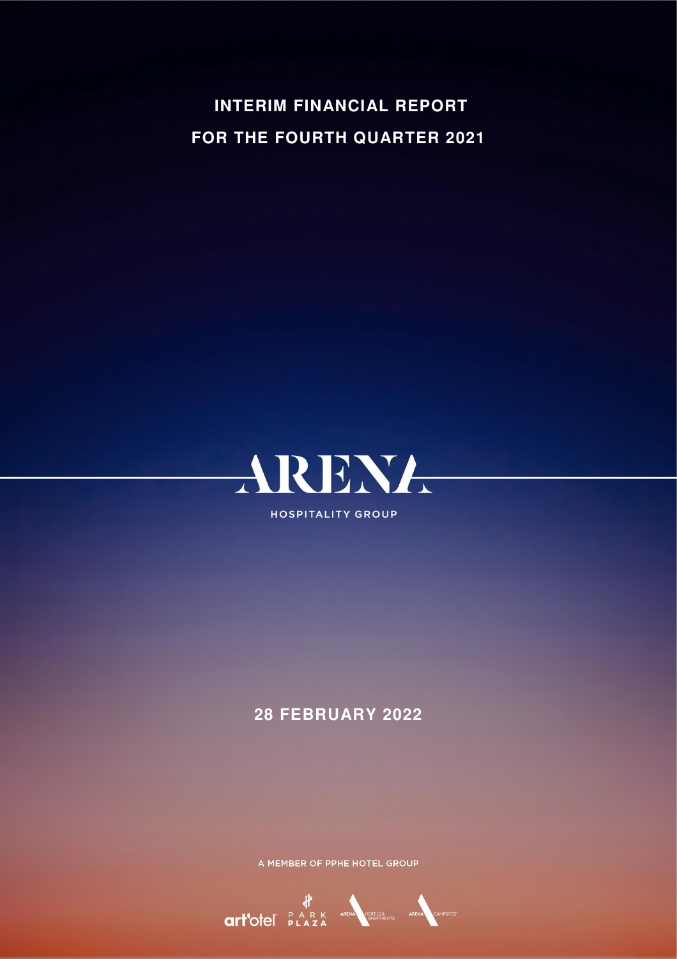**INTERIM FINANCIAL REPORT FOR THE FOURTH QUARTER 2021** 



# **28 FEBRUARY 2022**

A MEMBER OF PPHE HOTEL GROUP

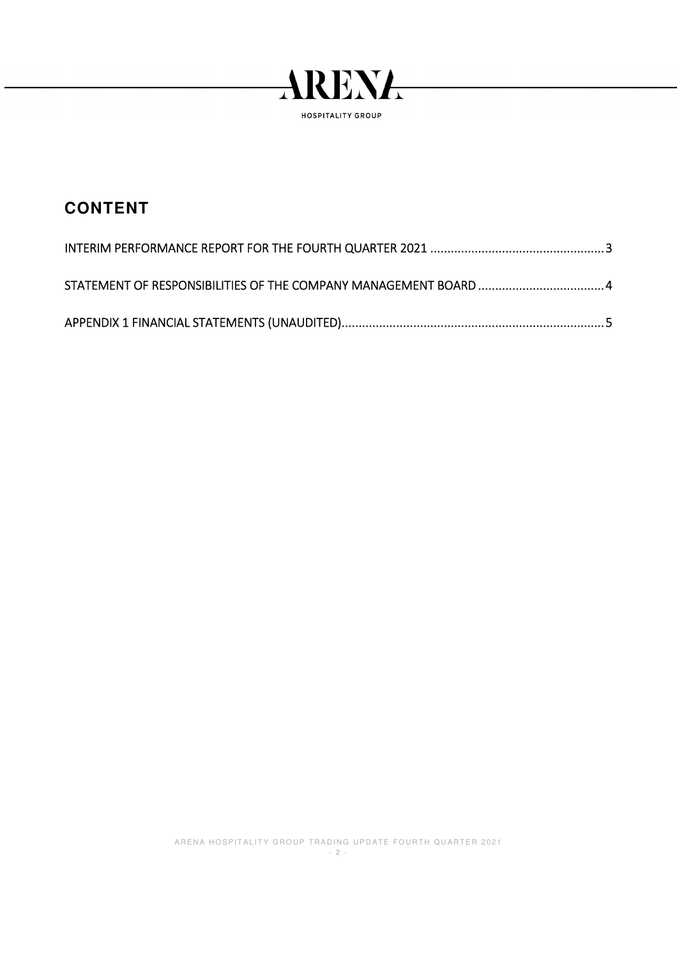

# **CONTENT**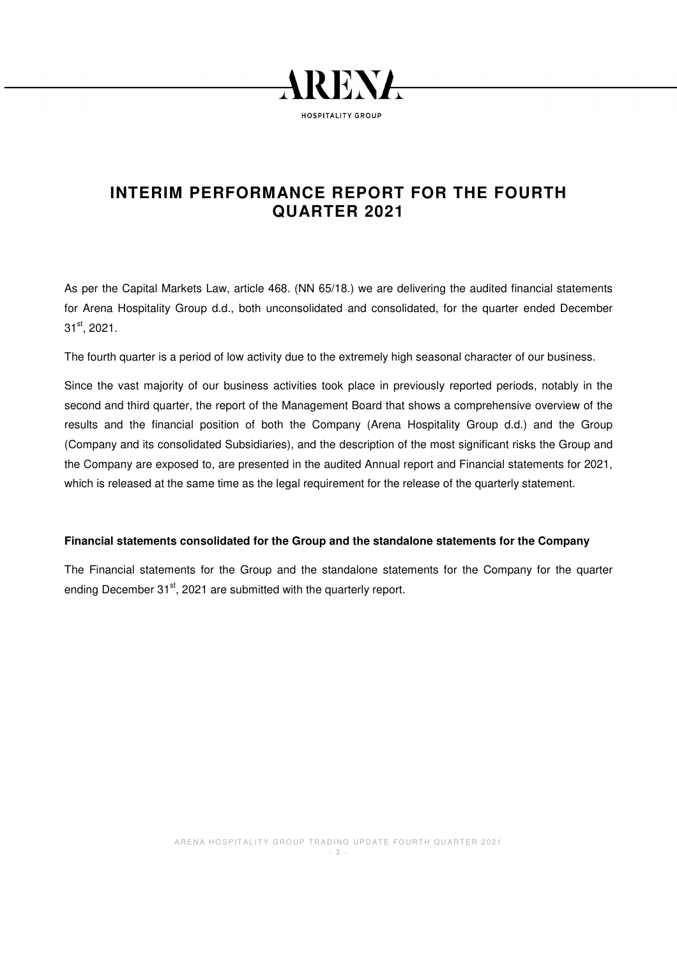

# **INTERIM PERFORMANCE REPORT FOR THE FOURTH QUARTER 2021**

As per the Capital Markets Law, article 468. (NN 65/18.) we are delivering the audited financial statements for Arena Hospitality Group d.d., both unconsolidated and consolidated, for the quarter ended December 31<sup>st</sup>, 2021.

The fourth quarter is a period of low activity due to the extremely high seasonal character of our business.

Since the vast majority of our business activities took place in previously reported periods, notably in the second and third quarter, the report of the Management Board that shows a comprehensive overview of the results and the financial position of both the Company (Arena Hospitality Group d.d.) and the Group (Company and its consolidated Subsidiaries), and the description of the most significant risks the Group and the Company are exposed to, are presented in the audited Annual report and Financial statements for 2021, which is released at the same time as the legal requirement for the release of the quarterly statement.

## **Financial statements consolidated for the Group and the standalone statements for the Company**

The Financial statements for the Group and the standalone statements for the Company for the quarter ending December 31<sup>st</sup>, 2021 are submitted with the quarterly report.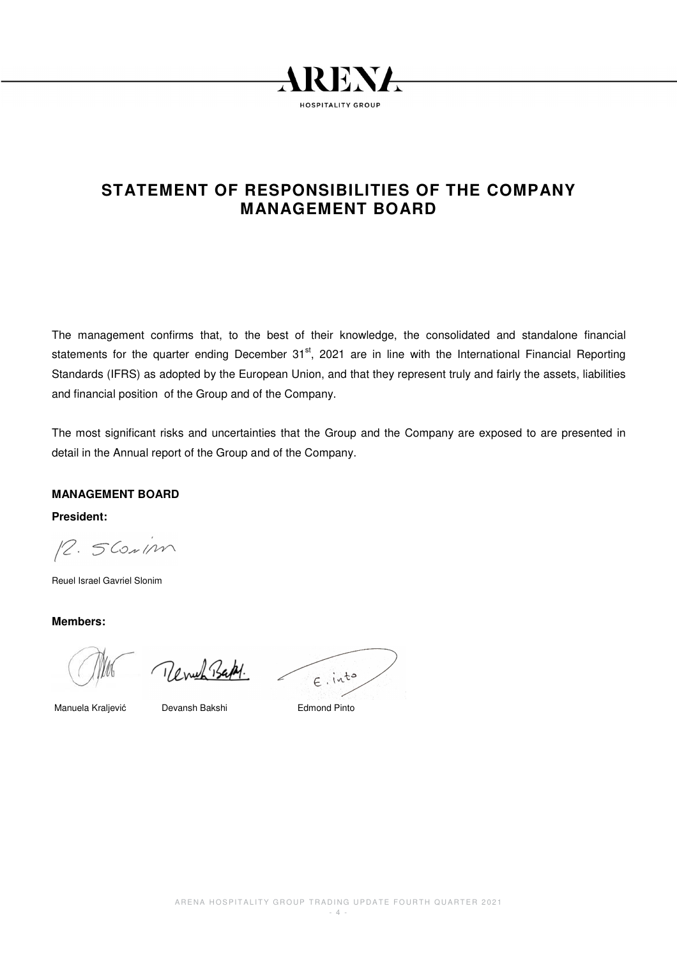

# **STATEMENT OF RESPONSIBILITIES OF THE COMPANY MANAGEMENT BOARD**

The management confirms that, to the best of their knowledge, the consolidated and standalone financial statements for the quarter ending December  $31<sup>st</sup>$ , 2021 are in line with the International Financial Reporting Standards (IFRS) as adopted by the European Union, and that they represent truly and fairly the assets, liabilities and financial position of the Group and of the Company.

The most significant risks and uncertainties that the Group and the Company are exposed to are presented in detail in the Annual report of the Group and of the Company.

## **MANAGEMENT BOARD**

**President:** 

12. 5 Contin

Reuel Israel Gavriel Slonim

**Members:** 

Revul Bakt.

 $E.$ into

Manuela Kraljević Devansh Bakshi Edmond Pinto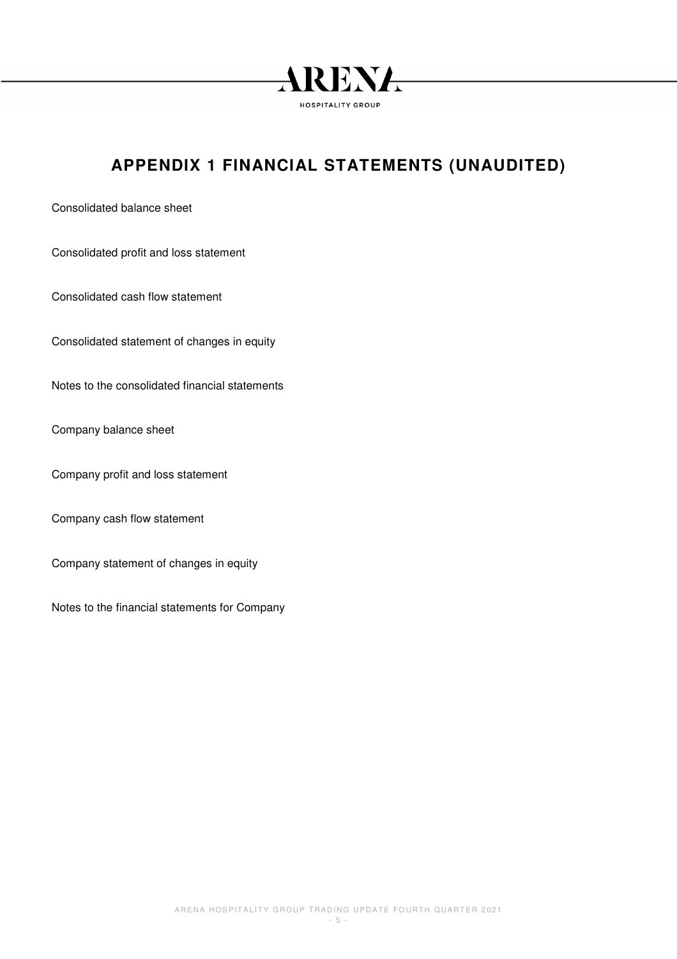

# **APPENDIX 1 FINANCIAL STATEMENTS (UNAUDITED)**

Consolidated balance sheet

Consolidated profit and loss statement

Consolidated cash flow statement

Consolidated statement of changes in equity

Notes to the consolidated financial statements

Company balance sheet

Company profit and loss statement

Company cash flow statement

Company statement of changes in equity

Notes to the financial statements for Company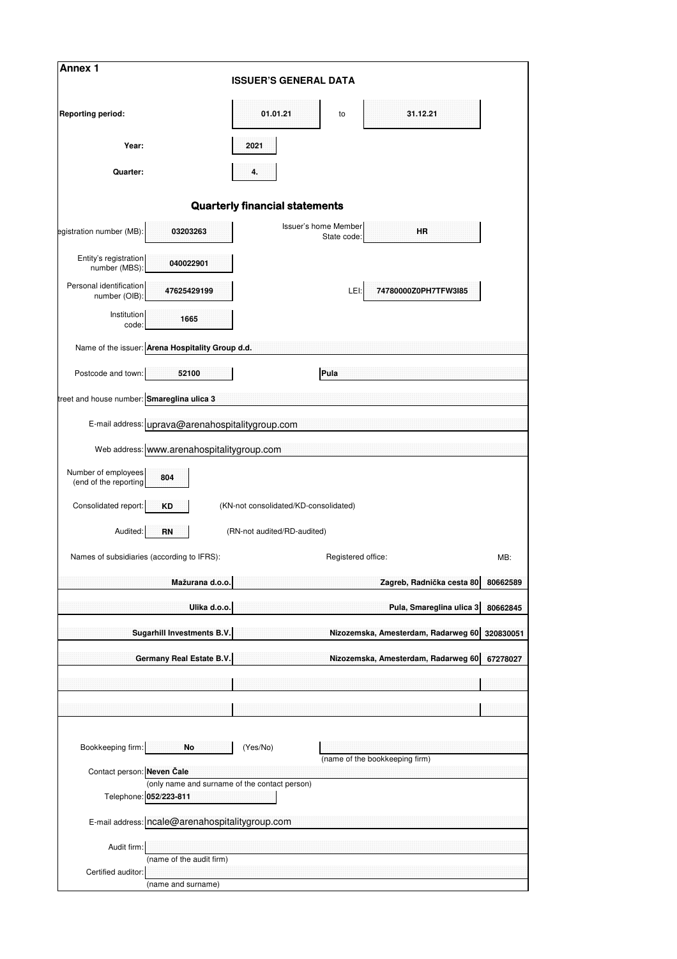| Annex 1                                                 | <b>ISSUER'S GENERAL DATA</b>                  |                      |                                     |           |  |  |  |  |  |  |  |  |
|---------------------------------------------------------|-----------------------------------------------|----------------------|-------------------------------------|-----------|--|--|--|--|--|--|--|--|
|                                                         |                                               |                      |                                     |           |  |  |  |  |  |  |  |  |
| <b>Reporting period:</b>                                | 01.01.21                                      | to                   | 31.12.21                            |           |  |  |  |  |  |  |  |  |
| Year:                                                   | 2021                                          |                      |                                     |           |  |  |  |  |  |  |  |  |
| Quarter:                                                | 4.                                            |                      |                                     |           |  |  |  |  |  |  |  |  |
|                                                         | <b>Quarterly financial statements</b>         |                      |                                     |           |  |  |  |  |  |  |  |  |
|                                                         |                                               | Issuer's home Member |                                     |           |  |  |  |  |  |  |  |  |
| egistration number (MB):<br>03203263                    |                                               | State code:          | <b>HR</b>                           |           |  |  |  |  |  |  |  |  |
| Entity's registration<br>040022901<br>number (MBS):     |                                               |                      |                                     |           |  |  |  |  |  |  |  |  |
| Personal identification<br>47625429199<br>number (OIB): |                                               | LEI:                 | 74780000Z0PH7TFW3I85                |           |  |  |  |  |  |  |  |  |
| Institution<br>1665<br>code:                            |                                               |                      |                                     |           |  |  |  |  |  |  |  |  |
| Name of the issuer: Arena Hospitality Group d.d.        |                                               |                      |                                     |           |  |  |  |  |  |  |  |  |
| Postcode and town:<br>52100                             |                                               | Pula                 |                                     |           |  |  |  |  |  |  |  |  |
| treet and house number: Smareglina ulica 3              |                                               |                      |                                     |           |  |  |  |  |  |  |  |  |
| E-mail address: uprava@arenahospitalitygroup.com        |                                               |                      |                                     |           |  |  |  |  |  |  |  |  |
| Web address: www.arenahospitalitygroup.com              |                                               |                      |                                     |           |  |  |  |  |  |  |  |  |
| Number of employees<br>804                              |                                               |                      |                                     |           |  |  |  |  |  |  |  |  |
| (end of the reporting                                   |                                               |                      |                                     |           |  |  |  |  |  |  |  |  |
| Consolidated report:<br><b>KD</b>                       | (KN-not consolidated/KD-consolidated)         |                      |                                     |           |  |  |  |  |  |  |  |  |
| Audited:<br><b>RN</b>                                   | (RN-not audited/RD-audited)                   |                      |                                     |           |  |  |  |  |  |  |  |  |
| Names of subsidiaries (according to IFRS):              |                                               | Registered office:   |                                     | MB:       |  |  |  |  |  |  |  |  |
| Mažurana d.o.o.                                         |                                               |                      | Zagreb, Radnička cesta 80           | 80662589  |  |  |  |  |  |  |  |  |
| Ulika d.o.o.                                            |                                               |                      | Pula, Smareglina ulica 3            | 80662845  |  |  |  |  |  |  |  |  |
| Sugarhill Investments B.V.                              |                                               |                      | Nizozemska, Amesterdam, Radarweg 60 | 320830051 |  |  |  |  |  |  |  |  |
| Germany Real Estate B.V.                                |                                               |                      | Nizozemska, Amesterdam, Radarweg 60 | 67278027  |  |  |  |  |  |  |  |  |
|                                                         |                                               |                      |                                     |           |  |  |  |  |  |  |  |  |
|                                                         |                                               |                      |                                     |           |  |  |  |  |  |  |  |  |
|                                                         |                                               |                      |                                     |           |  |  |  |  |  |  |  |  |
| Bookkeeping firm:<br>No                                 | (Yes/No)                                      |                      | (name of the bookkeeping firm)      |           |  |  |  |  |  |  |  |  |
| Contact person: Neven Čale                              |                                               |                      |                                     |           |  |  |  |  |  |  |  |  |
| Telephone: 052/223-811                                  | (only name and surname of the contact person) |                      |                                     |           |  |  |  |  |  |  |  |  |
| E-mail address: ncale@arenahospitalitygroup.com         |                                               |                      |                                     |           |  |  |  |  |  |  |  |  |
| Audit firm:                                             |                                               |                      |                                     |           |  |  |  |  |  |  |  |  |
| (name of the audit firm)<br>Certified auditor:          |                                               |                      |                                     |           |  |  |  |  |  |  |  |  |
| (name and surname)                                      |                                               |                      |                                     |           |  |  |  |  |  |  |  |  |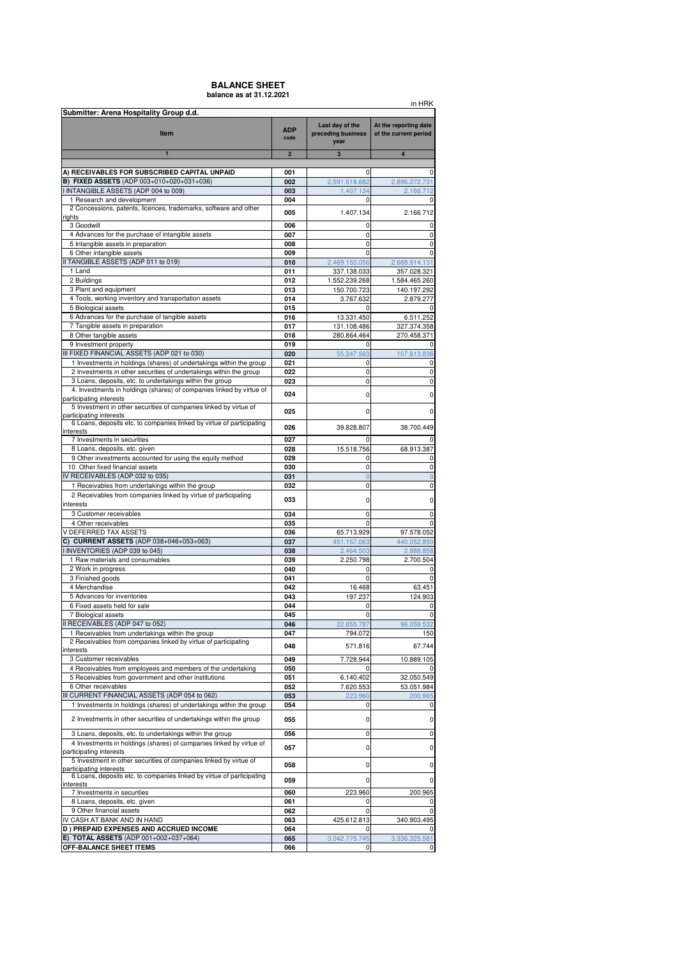### **BALANCE SHEET balance as at 31.12.2021**

|                                                                                                                                           |                    |                                               | in HRK                                         |
|-------------------------------------------------------------------------------------------------------------------------------------------|--------------------|-----------------------------------------------|------------------------------------------------|
| Submitter: Arena Hospitality Group d.d.<br>Item                                                                                           | <b>ADP</b><br>code | Last day of the<br>preceding business<br>year | At the reporting date<br>of the current period |
| $\blacksquare$                                                                                                                            | $\overline{2}$     | $\overline{\mathbf{3}}$                       | $\overline{4}$                                 |
| A) RECEIVABLES FOR SUBSCRIBED CAPITAL UNPAID                                                                                              | 001                | 0                                             | 0                                              |
| <b>B) FIXED ASSETS</b> (ADP 003+010+020+031+036)                                                                                          | 002                | 2.591.618.682                                 | 2.896.272.731                                  |
| I INTANGIBLE ASSETS (ADP 004 to 009)                                                                                                      | 003                | 1.407.134                                     | 2.166.712                                      |
| 1 Research and development                                                                                                                | 004                | 0                                             | 0                                              |
| 2 Concessions, patents, licences, trademarks, software and other<br>rights                                                                | 005                | 1.407.134                                     | 2.166.712                                      |
| 3 Goodwill                                                                                                                                | 006                | 0                                             | 0                                              |
| 4 Advances for the purchase of intangible assets                                                                                          | 007                | $\mathbf 0$                                   | 0                                              |
| 5 Intangible assets in preparation                                                                                                        | 008                | 0                                             | 0                                              |
| 6 Other intangible assets<br>II TANGIBLE ASSETS (ADP 011 to 019)                                                                          | 009<br>010         | 0                                             | 0<br>2.688.914.131                             |
| 1 Land                                                                                                                                    | 011                | 2.469.150.056<br>337.138.033                  | 357.028.321                                    |
| 2 Buildings                                                                                                                               | 012                | 1.552.239.268                                 | 1.584.465.260                                  |
| 3 Plant and equipment                                                                                                                     | 013                | 150.700.723                                   | 140.197.292                                    |
| 4 Tools, working inventory and transportation assets                                                                                      | 014                | 3.767.632                                     | 2.879.277                                      |
| 5 Biological assets<br>6 Advances for the purchase of tangible assets                                                                     | 015<br>016         | 0<br>13.331.450                               | 0<br>6.511.252                                 |
| 7 Tangible assets in preparation                                                                                                          | 017                | 131.108.486                                   | 327.374.358                                    |
| 8 Other tangible assets                                                                                                                   | 018                | 280.864.464                                   | 270.458.371                                    |
| 9 Investment property                                                                                                                     | 019                | 0                                             |                                                |
| III FIXED FINANCIAL ASSETS (ADP 021 to 030)                                                                                               | 020                | 55.347.563                                    | 107.613.836                                    |
| 1 Investments in holdings (shares) of undertakings within the group<br>2 Investments in other securities of undertakings within the group | 021<br>022         | 0<br>0                                        | 0<br>0                                         |
| 3 Loans, deposits, etc. to undertakings within the group                                                                                  | 023                | 0                                             | 0                                              |
| 4. Investments in holdings (shares) of companies linked by virtue of                                                                      | 024                | 0                                             | 0                                              |
| participating interests                                                                                                                   |                    |                                               |                                                |
| 5 Investment in other securities of companies linked by virtue of<br>participating interests                                              | 025                | 0                                             | 0                                              |
| 6 Loans, deposits etc. to companies linked by virtue of participating                                                                     | 026                | 39.828.807                                    | 38.700.449                                     |
| interests                                                                                                                                 |                    |                                               |                                                |
| 7 Investments in securities<br>8 Loans, deposits, etc. given                                                                              | 027<br>028         | 0<br>15.518.756                               | 0<br>68.913.387                                |
| 9 Other investments accounted for using the equity method                                                                                 | 029                | 0                                             | 0                                              |
| 10 Other fixed financial assets                                                                                                           | 030                | 0                                             | 0                                              |
| IV RECEIVABLES (ADP 032 to 035)                                                                                                           | 031                | $\overline{0}$                                | $\overline{0}$                                 |
| 1 Receivables from undertakings within the group<br>2 Receivables from companies linked by virtue of participating                        | 032                | 0                                             | 0                                              |
| interests                                                                                                                                 | 033                | 0                                             | 0                                              |
| 3 Customer receivables                                                                                                                    | 034                | 0                                             | 0                                              |
| 4 Other receivables                                                                                                                       | 035                | 0                                             | 0                                              |
| V DEFERRED TAX ASSETS                                                                                                                     | 036                | 65.713.929                                    | 97.578.052                                     |
| C) CURRENT ASSETS (ADP 038+046+053+063)<br>I INVENTORIES (ADP 039 to 045)                                                                 | 037<br>038         | 451.157.063<br>2.464.503                      | 440.052.850<br>2.888.858                       |
| 1 Raw materials and consumables                                                                                                           | 039                | 2.250.798                                     | 2.700.504                                      |
| 2 Work in progress                                                                                                                        | 040                | 0                                             | 0                                              |
| 3 Finished goods                                                                                                                          | 041                | $\mathbf 0$                                   | 0                                              |
| 4 Merchandise                                                                                                                             | 042                | 16.468                                        | 63.451                                         |
| 5 Advances for inventories<br>6 Fixed assets held for sale                                                                                | 043<br>044         | 197.237<br>0                                  | 124.903<br>0                                   |
| 7 Biological assets                                                                                                                       | 045                | 0                                             | 0                                              |
| II RECEIVABLES (ADP 047 to 052)                                                                                                           | 046                | 22.855.787                                    | 96.059.532                                     |
| 1 Receivables from undertakings within the group                                                                                          | 047                | 794.072                                       | 150                                            |
| 2 Receivables from companies linked by virtue of participating                                                                            | 048                | 571.816                                       | 67.744                                         |
| interests<br>3 Customer receivables                                                                                                       | 049                | 7.728.944                                     | 10.889.105                                     |
| 4 Receivables from employees and members of the undertaking                                                                               | 050                | 0                                             | 0                                              |
| 5 Receivables from government and other institutions                                                                                      | 051                | 6.140.402                                     | 32.050.549                                     |
| 6 Other receivables                                                                                                                       | 052                | 7.620.553                                     | 53.051.984                                     |
| III CURRENT FINANCIAL ASSETS (ADP 054 to 062)<br>1 Investments in holdings (shares) of undertakings within the group                      | 053<br>054         | 223.960<br>0                                  | 200.965<br>0                                   |
| 2 Investments in other securities of undertakings within the group                                                                        | 055                | 0                                             | 0                                              |
| 3 Loans, deposits, etc. to undertakings within the group                                                                                  | 056                | 0                                             | 0                                              |
| 4 Investments in holdings (shares) of companies linked by virtue of<br>participating interests                                            | 057                | 0                                             | 0                                              |
| 5 Investment in other securities of companies linked by virtue of<br>participating interests                                              | 058                | 0                                             | 0                                              |
| 6 Loans, deposits etc. to companies linked by virtue of participating<br>interests                                                        | 059                | $\mathbf 0$                                   | 0                                              |
| 7 Investments in securities                                                                                                               | 060                | 223.960                                       | 200.965                                        |
| 8 Loans, deposits, etc. given<br>9 Other financial assets                                                                                 | 061<br>062         | 0<br>0                                        | 0                                              |
| IV CASH AT BANK AND IN HAND                                                                                                               | 063                | 425.612.813                                   | 0<br>340.903.495                               |
| D) PREPAID EXPENSES AND ACCRUED INCOME                                                                                                    | 064                |                                               | 0                                              |
| E) TOTAL ASSETS (ADP 001+002+037+064)                                                                                                     | 065                | 3.042.775.745                                 | 3.336.325.581                                  |
| OFF-BALANCE SHEET ITEMS                                                                                                                   | 066                | 0                                             | 0                                              |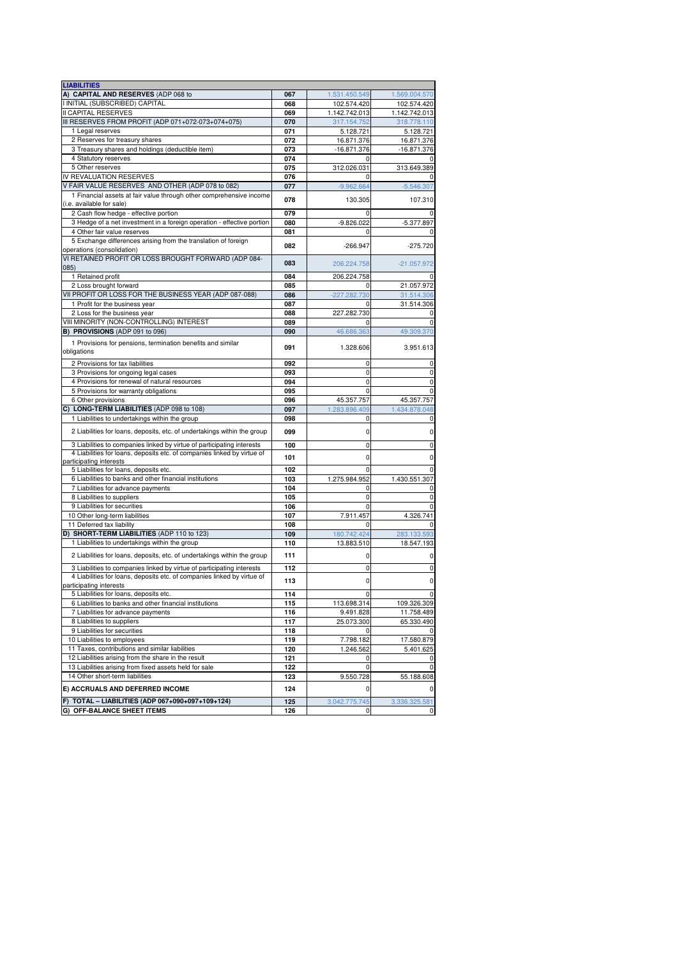| <b>LIABILITIES</b>                                                       |     |               |               |
|--------------------------------------------------------------------------|-----|---------------|---------------|
| A) CAPITAL AND RESERVES (ADP 068 to                                      | 067 | 1.531.450.549 | 1.569.004.570 |
| I INITIAL (SUBSCRIBED) CAPITAL                                           | 068 | 102.574.420   | 102.574.420   |
| <b>II CAPITAL RESERVES</b>                                               | 069 | 1.142.742.013 | 1.142.742.013 |
| III RESERVES FROM PROFIT (ADP 071+072-073+074+075)                       | 070 | 317.154.752   | 318.778.110   |
| 1 Legal reserves                                                         | 071 | 5.128.721     | 5.128.721     |
| 2 Reserves for treasury shares                                           | 072 | 16.871.376    | 16.871.376    |
| 3 Treasury shares and holdings (deductible item)                         | 073 | $-16.871.376$ | $-16.871.376$ |
| 4 Statutory reserves                                                     | 074 |               | 0             |
| 5 Other reserves                                                         | 075 |               |               |
|                                                                          |     | 312.026.031   | 313.649.389   |
| IV REVALUATION RESERVES                                                  | 076 |               | 0             |
| V FAIR VALUE RESERVES AND OTHER (ADP 078 to 082)                         | 077 | $-9.962.664$  | $-5.546.307$  |
| 1 Financial assets at fair value through other comprehensive income      | 078 | 130.305       | 107.310       |
| (i.e. available for sale)                                                |     |               |               |
| 2 Cash flow hedge - effective portion                                    | 079 |               |               |
| 3 Hedge of a net investment in a foreign operation - effective portion   | 080 | $-9.826.022$  | $-5.377.897$  |
| 4 Other fair value reserves                                              | 081 | $\Omega$      | 0             |
| 5 Exchange differences arising from the translation of foreign           | 082 | $-266.947$    | $-275.720$    |
| operations (consolidation)                                               |     |               |               |
| VI RETAINED PROFIT OR LOSS BROUGHT FORWARD (ADP 084-                     |     |               |               |
| 085)                                                                     | 083 | 206.224.758   | $-21.057.972$ |
| 1 Retained profit                                                        | 084 | 206.224.758   | 0             |
| 2 Loss brought forward                                                   | 085 |               | 21.057.972    |
| VII PROFIT OR LOSS FOR THE BUSINESS YEAR (ADP 087-088)                   | 086 | -227.282.730  | 31.514.306    |
| 1 Profit for the business year                                           | 087 | 0             | 31.514.306    |
| 2 Loss for the business year                                             | 088 | 227.282.730   | 0             |
| VIII MINORITY (NON-CONTROLLING) INTEREST                                 | 089 | 0             | 0             |
| B) PROVISIONS (ADP 091 to 096)                                           | 090 | 46.686.363    | 49.309.370    |
|                                                                          |     |               |               |
| 1 Provisions for pensions, termination benefits and similar              | 091 | 1.328.606     | 3.951.613     |
| obligations                                                              |     |               |               |
| 2 Provisions for tax liabilities                                         | 092 | 0             | 0             |
| 3 Provisions for ongoing legal cases                                     | 093 | $\mathbf 0$   | 0             |
| 4 Provisions for renewal of natural resources                            | 094 | 0             | 0             |
| 5 Provisions for warranty obligations                                    | 095 | 0             | 0             |
| 6 Other provisions                                                       | 096 | 45.357.757    | 45.357.757    |
| C) LONG-TERM LIABILITIES (ADP 098 to 108)                                | 097 | 1.283.896.409 | 1.434.878.048 |
| 1 Liabilities to undertakings within the group                           |     |               |               |
|                                                                          | 098 | 0             | 0             |
| 2 Liabilities for loans, deposits, etc. of undertakings within the group | 099 | 0             | 0             |
| 3 Liabilities to companies linked by virtue of participating interests   | 100 | $\mathbf 0$   | 0             |
| 4 Liabilities for loans, deposits etc. of companies linked by virtue of  |     |               |               |
| participating interests                                                  | 101 | 0             | 0             |
| 5 Liabilities for loans, deposits etc.                                   | 102 | $\Omega$      | 0             |
| 6 Liabilities to banks and other financial institutions                  | 103 | 1.275.984.952 | 1.430.551.307 |
| 7 Liabilities for advance payments                                       | 104 | 0             | 0             |
| 8 Liabilities to suppliers                                               | 105 | 0             | 0             |
| 9 Liabilities for securities                                             | 106 | $\mathbf 0$   | 0             |
| 10 Other long-term liabilities                                           | 107 |               |               |
|                                                                          |     | 7.911.457     | 4.326.741     |
| 11 Deferred tax liability                                                | 108 |               | 0             |
| D) SHORT-TERM LIABILITIES (ADP 110 to 123)                               | 109 | 180.742.424   | 283.133.593   |
| 1 Liabilities to undertakings within the group                           | 110 | 13.883.510    | 18.547.193    |
| 2 Liabilities for loans, deposits, etc. of undertakings within the group | 111 | 0             | 0             |
| 3 Liabilities to companies linked by virtue of participating interests   | 112 | 0             | 0             |
|                                                                          |     |               |               |
| 4 Liabilities for loans, deposits etc. of companies linked by virtue of  | 113 | 0             | 0             |
| participating interests                                                  |     |               |               |
| 5 Liabilities for loans, deposits etc.                                   | 114 |               | 0             |
| 6 Liabilities to banks and other financial institutions                  | 115 | 113.698.314   | 109.326.309   |
| 7 Liabilities for advance payments                                       | 116 | 9.491.828     | 11.758.489    |
| 8 Liabilities to suppliers                                               | 117 | 25.073.300    | 65.330.490    |
| 9 Liabilities for securities                                             | 118 | 0             | 0             |
| 10 Liabilities to employees                                              | 119 | 7.798.182     | 17.580.879    |
| 11 Taxes, contributions and similar liabilities                          | 120 | 1.246.562     | 5.401.625     |
| 12 Liabilities arising from the share in the result                      | 121 | 0             | 0             |
| 13 Liabilities arising from fixed assets held for sale                   | 122 | 0             | 0             |
| 14 Other short-term liabilities                                          | 123 | 9.550.728     | 55.188.608    |
| E) ACCRUALS AND DEFERRED INCOME                                          | 124 | 0             | 0             |
|                                                                          |     |               |               |
| F) TOTAL - LIABILITIES (ADP 067+090+097+109+124)                         | 125 | 3.042.775.745 | 3.336.325.581 |
| G) OFF-BALANCE SHEET ITEMS                                               | 126 | 0             | 0             |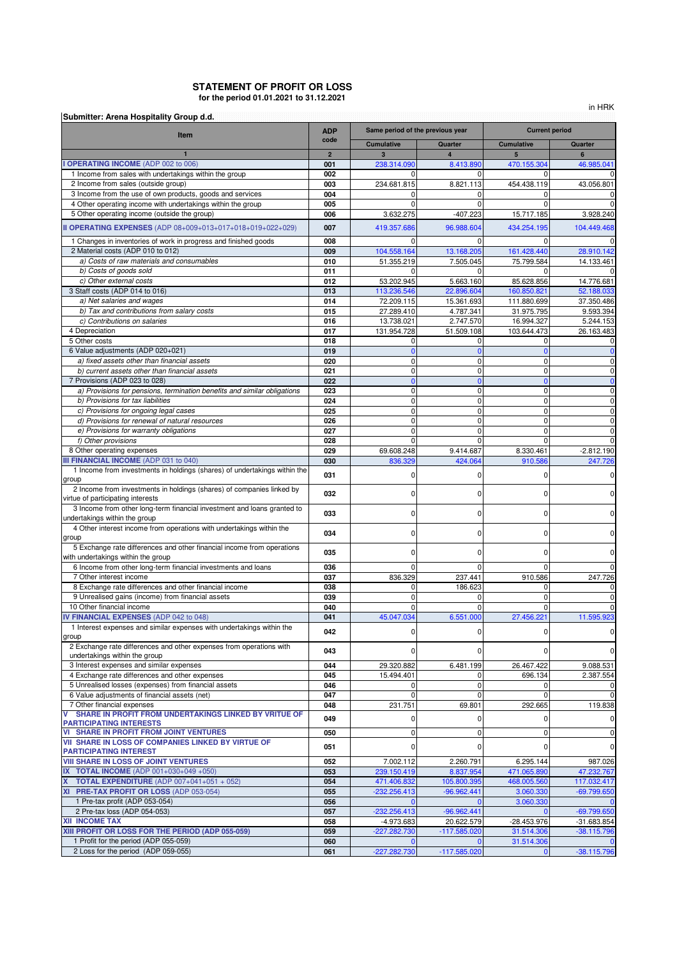## **for the period 01.01.2021 to 31.12.2021 STATEMENT OF PROFIT OR LOSS**

in HRK

| Submitter: Arena Hospitality Group d.d.                                                                                  | <b>ADP</b>     |                               | Same period of the previous year | <b>Current period</b> |                    |  |
|--------------------------------------------------------------------------------------------------------------------------|----------------|-------------------------------|----------------------------------|-----------------------|--------------------|--|
| Item                                                                                                                     | code           | <b>Cumulative</b>             | Quarter                          | <b>Cumulative</b>     | Quarter            |  |
|                                                                                                                          | $\overline{2}$ | $\overline{3}$                | $\overline{4}$                   | 5                     | 6                  |  |
| <b>OPERATING INCOME (ADP 002 to 006)</b>                                                                                 | 001            | 238.314.090                   | 8.413.890                        | 470.155.304           | 46.985.041         |  |
| 1 Income from sales with undertakings within the group                                                                   | 002            | $\Omega$                      | 0                                | $\Omega$              | 0                  |  |
| 2 Income from sales (outside group)                                                                                      | 003            | 234.681.815                   | 8.821.113                        | 454.438.119           | 43.056.801         |  |
| 3 Income from the use of own products, goods and services<br>4 Other operating income with undertakings within the group | 004<br>005     |                               |                                  |                       | O<br>C             |  |
| 5 Other operating income (outside the group)                                                                             | 006            | 3.632.275                     | $-407.223$                       | 15.717.185            | 3.928.240          |  |
|                                                                                                                          |                |                               |                                  |                       |                    |  |
| II OPERATING EXPENSES (ADP 08+009+013+017+018+019+022+029)                                                               | 007            | 419.357.686                   | 96.988.604                       | 434.254.195           | 104.449.468        |  |
| 1 Changes in inventories of work in progress and finished goods                                                          | 008            | $\Omega$                      | $\Omega$                         | $\Omega$              | O                  |  |
| 2 Material costs (ADP 010 to 012)                                                                                        | 009            | 104.558.164                   | 13.168.205                       | 161.428.440           | 28.910.142         |  |
| a) Costs of raw materials and consumables                                                                                | 010            | 51.355.219                    | 7.505.045                        | 75.799.584            | 14.133.461         |  |
| b) Costs of goods sold<br>c) Other external costs                                                                        | 011<br>012     | 53.202.945                    | $\Omega$<br>5.663.160            | O<br>85.628.856       | 0<br>14.776.681    |  |
| 3 Staff costs (ADP 014 to 016)                                                                                           | 013            | 113.236.546                   | 22.896.604                       | 160.850.821           | 52.188.033         |  |
| a) Net salaries and wages                                                                                                | 014            | 72.209.115                    | 15.361.693                       | 111.880.699           | 37.350.486         |  |
| b) Tax and contributions from salary costs                                                                               | 015            | 27.289.410                    | 4.787.341                        | 31.975.795            | 9.593.394          |  |
| c) Contributions on salaries                                                                                             | 016            | 13.738.021                    | 2.747.570                        | 16.994.327            | 5.244.153          |  |
| 4 Depreciation                                                                                                           | 017            | 131.954.728                   | 51.509.108                       | 103.644.473           | 26.163.483         |  |
| 5 Other costs                                                                                                            | 018            | 0                             | 0                                | 0                     | 0                  |  |
| 6 Value adjustments (ADP 020+021)                                                                                        | 019            | $\Omega$                      | $\Omega$                         | $\overline{0}$        | $\mathbf 0$        |  |
| a) fixed assets other than financial assets                                                                              | 020            | $\mathbf 0$                   | 0                                | 0                     | O                  |  |
| b) current assets other than financial assets<br>7 Provisions (ADP 023 to 028)                                           | 021<br>022     | $\mathbf 0$<br>$\overline{0}$ | 0<br>$\mathbf{0}$                | 0<br>$\Omega$         | O                  |  |
| a) Provisions for pensions, termination benefits and similar obligations                                                 | 023            | 0                             | 0                                | $\mathbf 0$           | $\mathbf{0}$<br>0  |  |
| b) Provisions for tax liabilities                                                                                        | 024            | $\mathbf 0$                   | 0                                | $\mathbf 0$           | 0                  |  |
| c) Provisions for ongoing legal cases                                                                                    | 025            | $\mathbf 0$                   | $\mathbf 0$                      | 0                     | 0                  |  |
| d) Provisions for renewal of natural resources                                                                           | 026            | $\mathbf 0$                   | $\mathbf 0$                      | 0                     | O                  |  |
| e) Provisions for warranty obligations                                                                                   | 027            | $\mathbf 0$                   | $\mathbf 0$                      | $\mathbf 0$           | 0                  |  |
| f) Other provisions                                                                                                      | 028            | $\mathbf 0$                   | $\mathbf 0$                      | $\mathbf 0$           | 0                  |  |
| 8 Other operating expenses                                                                                               | 029            | 69.608.248                    | 9.414.687                        | 8.330.461             | $-2.812.190$       |  |
| <b>III FINANCIAL INCOME (ADP 031 to 040)</b>                                                                             | 030            | 836.329                       | 424.064                          | 910.586               | 247.726            |  |
| 1 Income from investments in holdings (shares) of undertakings within the<br>group                                       | 031            | $\mathbf 0$                   | 0                                | 0                     | O                  |  |
| 2 Income from investments in holdings (shares) of companies linked by                                                    | 032            | $\mathbf 0$                   | 0                                | 0                     | 0                  |  |
| virtue of participating interests<br>3 Income from other long-term financial investment and loans granted to             |                |                               |                                  |                       |                    |  |
| undertakings within the group                                                                                            | 033            | $\Omega$                      | 0                                | 0                     |                    |  |
| 4 Other interest income from operations with undertakings within the                                                     |                |                               |                                  |                       |                    |  |
| group                                                                                                                    | 034            | $\mathbf 0$                   | 0                                | 0                     | 0                  |  |
| 5 Exchange rate differences and other financial income from operations                                                   | 035            | $\mathbf 0$                   | 0                                | 0                     | O                  |  |
| with undertakings within the group                                                                                       |                |                               |                                  |                       |                    |  |
| 6 Income from other long-term financial investments and loans                                                            | 036            | $\Omega$                      | $\Omega$<br>237.441              | $\Omega$              | 0                  |  |
| 7 Other interest income<br>8 Exchange rate differences and other financial income                                        | 037<br>038     | 836.329<br>0                  | 186.623                          | 910.586<br>0          | 247.726            |  |
| 9 Unrealised gains (income) from financial assets                                                                        | 039            | $\Omega$                      | 0                                | $\Omega$              | 0<br>O             |  |
| 10 Other financial income                                                                                                | 040            | $\mathbf 0$                   | 0                                | $\mathbf 0$           | $\mathbf 0$        |  |
| IV FINANCIAL EXPENSES (ADP 042 to 048)                                                                                   | 041            | 45.047.034                    | 6.551.000                        | 27.456.221            | 11.595.923         |  |
| 1 Interest expenses and similar expenses with undertakings within the                                                    |                |                               |                                  |                       |                    |  |
| group                                                                                                                    | 042            | $\mathbf 0$                   | 0                                | 0                     | O                  |  |
| 2 Exchange rate differences and other expenses from operations with<br>undertakings within the group                     | 043            | $\mathbf 0$                   | 0                                | 0                     | 0                  |  |
| 3 Interest expenses and similar expenses                                                                                 | 044            | 29.320.882                    | 6.481.199                        | 26.467.422            | 9.088.531          |  |
| 4 Exchange rate differences and other expenses                                                                           | 045            | 15.494.401                    | 0                                | 696.134               | 2.387.554          |  |
| 5 Unrealised losses (expenses) from financial assets                                                                     | 046            | 0                             | 0                                | 0                     | O                  |  |
| 6 Value adjustments of financial assets (net)                                                                            | 047            | $\mathbf 0$                   | $\mathbf 0$                      | $\mathbf 0$           | $\mathbf 0$        |  |
| 7 Other financial expenses                                                                                               | 048            | 231.751                       | 69.801                           | 292.665               | 119.838            |  |
| SHARE IN PROFIT FROM UNDERTAKINGS LINKED BY VRITUE OF<br>V                                                               | 049            | $\mathbf 0$                   | 0                                | 0                     | O                  |  |
| <b>PARTICIPATING INTERESTS</b><br><b>VI SHARE IN PROFIT FROM JOINT VENTURES</b>                                          | 050            | $\mathbf 0$                   | 0                                | 0                     | O                  |  |
| VII SHARE IN LOSS OF COMPANIES LINKED BY VIRTUE OF                                                                       |                |                               |                                  |                       |                    |  |
| <b>PARTICIPATING INTEREST</b>                                                                                            | 051            | $\mathbf 0$                   | 0                                | 0                     | 0                  |  |
| <b>VIII SHARE IN LOSS OF JOINT VENTURES</b>                                                                              | 052            | 7.002.112                     | 2.260.791                        | 6.295.144             | 987.026            |  |
| IX TOTAL INCOME (ADP 001+030+049 +050)                                                                                   | 053            | 239.150.419                   | 8.837.954                        | 471.065.890           | 47.232.767         |  |
| <b>TOTAL EXPENDITURE</b> (ADP 007+041+051 + 052)                                                                         | 054            | 471.406.832                   | 105.800.395                      | 468.005.560           | 117.032.417        |  |
| XI PRE-TAX PROFIT OR LOSS (ADP 053-054)                                                                                  | 055            | $-232.256.413$                | $-96.962.441$                    | 3.060.330             | $-69.799.650$      |  |
| 1 Pre-tax profit (ADP 053-054)<br>2 Pre-tax loss (ADP 054-053)                                                           | 056<br>057     | $-232.256.413$                | $-96.962.441$                    | 3.060.330             | 0<br>$-69.799.650$ |  |
| <b>XII INCOME TAX</b>                                                                                                    | 058            | -4.973.683                    | 20.622.579                       | -28.453.976           | $-31.683.854$      |  |
| XIII PROFIT OR LOSS FOR THE PERIOD (ADP 055-059)                                                                         | 059            | $-227.282.730$                | $-117.585.020$                   | 31.514.306            | $-38.115.796$      |  |
| 1 Profit for the period (ADP 055-059)                                                                                    | 060            |                               |                                  | 31.514.306            |                    |  |
| 2 Loss for the period (ADP 059-055)                                                                                      | 061            | -227.282.730                  | $-117.585.020$                   | $\bf{0}$              | $-38.115.796$      |  |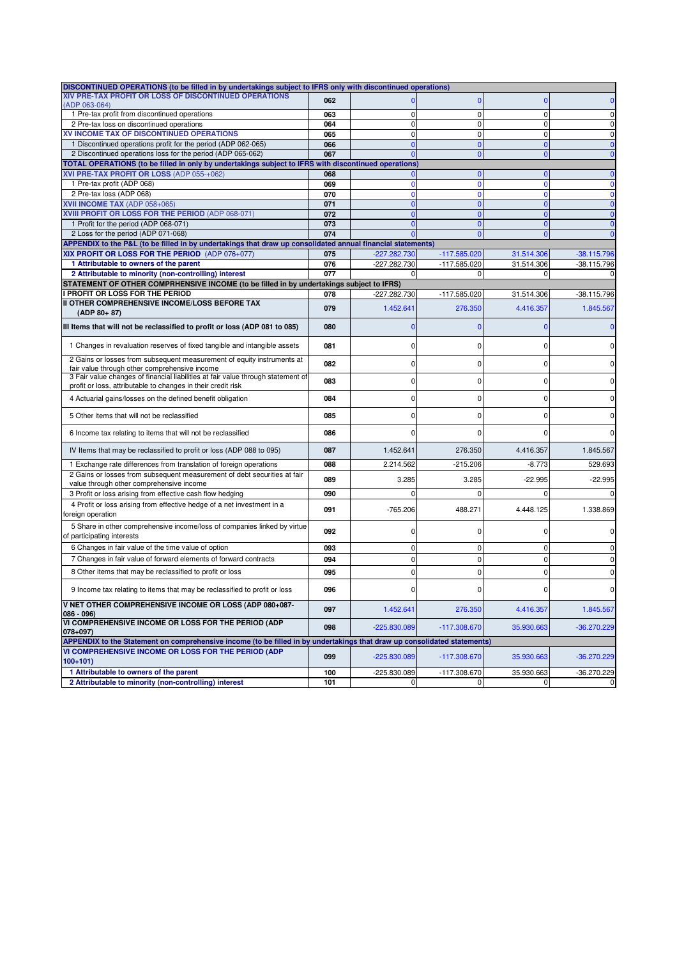| DISCONTINUED OPERATIONS (to be filled in by undertakings subject to IFRS only with discontinued operations)                                      |     |                |                |             |               |
|--------------------------------------------------------------------------------------------------------------------------------------------------|-----|----------------|----------------|-------------|---------------|
| XIV PRE-TAX PROFIT OR LOSS OF DISCONTINUED OPERATIONS                                                                                            | 062 |                | $\mathbf 0$    | n           |               |
| (ADP 063-064)<br>1 Pre-tax profit from discontinued operations                                                                                   | 063 | $\mathbf 0$    | $\mathbf 0$    | $\mathbf 0$ | $\mathbf 0$   |
| 2 Pre-tax loss on discontinued operations                                                                                                        | 064 | $\mathbf 0$    | $\mathbf{0}$   | $\mathbf 0$ | $\mathbf 0$   |
| XV INCOME TAX OF DISCONTINUED OPERATIONS                                                                                                         | 065 | $\mathbf 0$    | $\mathbf{0}$   | $\Omega$    | $\pmb{0}$     |
| 1 Discontinued operations profit for the period (ADP 062-065)                                                                                    | 066 | $\mathbf{0}$   | $\mathbf{0}$   | $\Omega$    | $\bf{0}$      |
| 2 Discontinued operations loss for the period (ADP 065-062)                                                                                      | 067 | $\Omega$       | $\mathbf{0}$   |             | $\mathbf 0$   |
| TOTAL OPERATIONS (to be filled in only by undertakings subject to IFRS with discontinued operations                                              |     |                |                |             |               |
| XVI PRE-TAX PROFIT OR LOSS (ADP 055-+062)                                                                                                        | 068 | $\mathbf{0}$   | $\mathbf{0}$   | $\Omega$    | $\mathbf 0$   |
| 1 Pre-tax profit (ADP 068)                                                                                                                       | 069 | $\mathbf 0$    | $\mathbf{0}$   | $\Omega$    | $\mathbf 0$   |
| 2 Pre-tax loss (ADP 068)                                                                                                                         | 070 | $\mathbf{0}$   | $\mathbf{0}$   | $\Omega$    | $\mathbf 0$   |
| XVII INCOME TAX (ADP 058+065)                                                                                                                    | 071 | $\mathbf{0}$   | $\mathbf{0}$   | $\Omega$    | $\bf{0}$      |
| XVIII PROFIT OR LOSS FOR THE PERIOD (ADP 068-071)                                                                                                | 072 | $\Omega$       | $\overline{0}$ |             | $\mathbf{0}$  |
| 1 Profit for the period (ADP 068-071)                                                                                                            | 073 | $\Omega$       | $\mathbf{0}$   |             | $\mathbf{0}$  |
| 2 Loss for the period (ADP 071-068)                                                                                                              | 074 |                | $\mathbf{0}$   | $\Omega$    | $\mathbf{0}$  |
| APPENDIX to the P&L (to be filled in by undertakings that draw up consolidated annual financial statements)                                      |     |                |                |             |               |
| XIX PROFIT OR LOSS FOR THE PERIOD (ADP 076+077)                                                                                                  | 075 | -227.282.730   | $-117.585.020$ | 31.514.306  | $-38.115.796$ |
| 1 Attributable to owners of the parent                                                                                                           | 076 | -227.282.730   | -117.585.020   | 31.514.306  | -38.115.796   |
| 2 Attributable to minority (non-controlling) interest                                                                                            | 077 |                | $\mathbf 0$    | $\Omega$    | $\Omega$      |
| STATEMENT OF OTHER COMPRHENSIVE INCOME (to be filled in by undertakings subject to IFRS)                                                         |     |                |                |             |               |
| I PROFIT OR LOSS FOR THE PERIOD                                                                                                                  | 078 | -227.282.730   | $-117.585.020$ | 31.514.306  | -38.115.796   |
| II OTHER COMPREHENSIVE INCOME/LOSS BEFORE TAX<br>$(ADP 80+87)$                                                                                   | 079 | 1.452.641      | 276.350        | 4.416.357   | 1.845.567     |
| III Items that will not be reclassified to profit or loss (ADP 081 to 085)                                                                       | 080 | $\mathbf{0}$   | $\mathbf 0$    | n           | $\mathbf 0$   |
| 1 Changes in revaluation reserves of fixed tangible and intangible assets                                                                        | 081 | 0              | 0              |             |               |
| 2 Gains or losses from subsequent measurement of equity instruments at<br>fair value through other comprehensive income                          | 082 | 0              | 0              |             | $\Omega$      |
| 3 Fair value changes of financial liabilities at fair value through statement of<br>profit or loss, attributable to changes in their credit risk | 083 | 0              | 0              | $\Omega$    | O             |
| 4 Actuarial gains/losses on the defined benefit obligation                                                                                       | 084 | $\Omega$       | 0              |             | $\Omega$      |
| 5 Other items that will not be reclassified                                                                                                      | 085 | $\Omega$       | $\Omega$       |             |               |
| 6 Income tax relating to items that will not be reclassified                                                                                     | 086 | $\Omega$       | 0              |             | n             |
| IV Items that may be reclassified to profit or loss (ADP 088 to 095)                                                                             | 087 | 1.452.641      | 276.350        | 4.416.357   | 1.845.567     |
| 1 Exchange rate differences from translation of foreign operations                                                                               | 088 | 2.214.562      | $-215.206$     | $-8.773$    | 529.693       |
| 2 Gains or losses from subsequent measurement of debt securities at fair<br>value through other comprehensive income                             | 089 | 3.285          | 3.285          | $-22.995$   | $-22.995$     |
| 3 Profit or loss arising from effective cash flow hedging                                                                                        | 090 | 0              | 0              | $\Omega$    |               |
| 4 Profit or loss arising from effective hedge of a net investment in a                                                                           |     |                |                |             |               |
| foreign operation                                                                                                                                | 091 | $-765.206$     | 488.271        | 4.448.125   | 1.338.869     |
| 5 Share in other comprehensive income/loss of companies linked by virtue<br>of participating interests                                           | 092 | 0              | 0              |             |               |
| 6 Changes in fair value of the time value of option                                                                                              | 093 | 0              | $\mathbf{0}$   | 0           | $\mathbf 0$   |
| 7 Changes in fair value of forward elements of forward contracts                                                                                 | 094 | $\mathbf 0$    | $\mathbf{0}$   | $\Omega$    | $\mathbf 0$   |
| 8 Other items that may be reclassified to profit or loss                                                                                         | 095 | 0              | 0              |             | $\Omega$      |
| 9 Income tax relating to items that may be reclassified to profit or loss                                                                        | 096 |                | $\Omega$       |             |               |
| V NET OTHER COMPREHENSIVE INCOME OR LOSS (ADP 080+087-                                                                                           | 097 | 1.452.641      | 276.350        | 4.416.357   | 1.845.567     |
| $086 - 096$<br>VI COMPREHENSIVE INCOME OR LOSS FOR THE PERIOD (ADP<br>$(078+097)$                                                                | 098 | -225.830.089   | $-117.308.670$ | 35.930.663  | $-36.270.229$ |
| APPENDIX to the Statement on comprehensive income (to be filled in by undertakings that draw up consolidated statements)                         |     |                |                |             |               |
| VI COMPREHENSIVE INCOME OR LOSS FOR THE PERIOD (ADP<br>$100+101$                                                                                 | 099 | $-225.830.089$ | $-117.308.670$ | 35.930.663  | $-36.270.229$ |
| 1 Attributable to owners of the parent                                                                                                           | 100 | -225.830.089   | -117.308.670   | 35.930.663  | -36.270.229   |
| 2 Attributable to minority (non-controlling) interest                                                                                            | 101 | 0              | $\mathbf 0$    | 0           | $\mathbf{0}$  |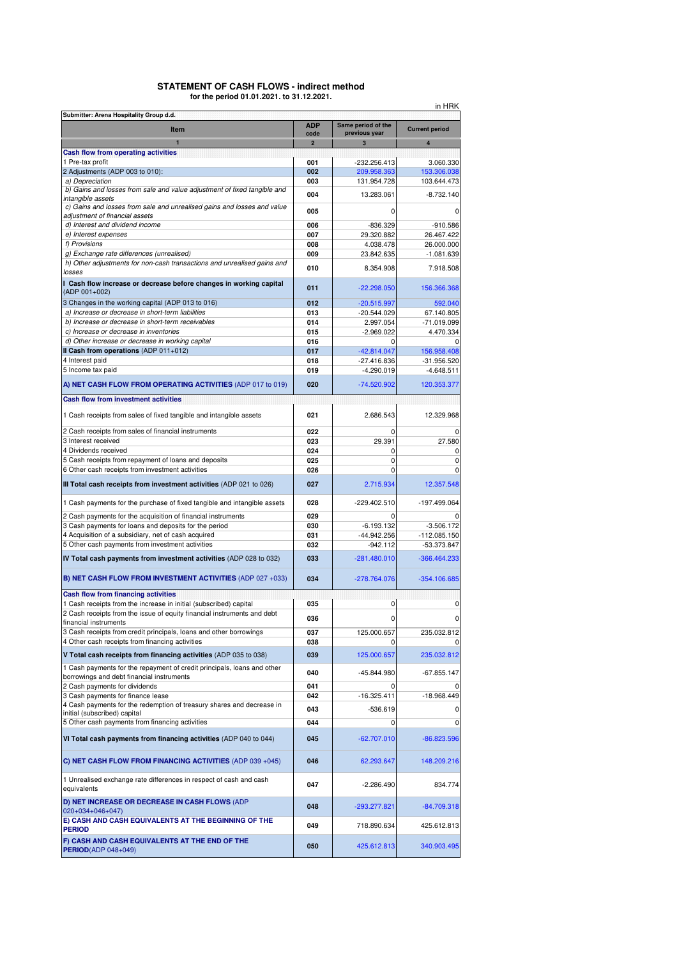### **STATEMENT OF CASH FLOWS - indirect method for the period 01.01.2021. to 31.12.2021.**

| in HRK<br>Submitter: Arena Hospitality Group d.d.                                                                     |                        |                             |                                |  |  |  |  |  |  |
|-----------------------------------------------------------------------------------------------------------------------|------------------------|-----------------------------|--------------------------------|--|--|--|--|--|--|
| <b>Item</b>                                                                                                           | <b>ADP</b>             | Same period of the          | <b>Current period</b>          |  |  |  |  |  |  |
|                                                                                                                       | code<br>$\overline{2}$ | previous year<br>3          | 4                              |  |  |  |  |  |  |
| Cash flow from operating activities                                                                                   |                        |                             |                                |  |  |  |  |  |  |
| 1 Pre-tax profit                                                                                                      | 001                    | $-232.256.413$              | 3.060.330                      |  |  |  |  |  |  |
| 2 Adjustments (ADP 003 to 010):                                                                                       | 002                    | 209.958.363                 | 153.306.038                    |  |  |  |  |  |  |
| a) Depreciation<br>b) Gains and losses from sale and value adjustment of fixed tangible and                           | 003                    | 131.954.728                 | 103.644.473                    |  |  |  |  |  |  |
| intangible assets                                                                                                     | 004                    | 13.283.061                  | $-8.732.140$                   |  |  |  |  |  |  |
| c) Gains and losses from sale and unrealised gains and losses and value<br>adjustment of financial assets             | 005                    | $\Omega$                    |                                |  |  |  |  |  |  |
| d) Interest and dividend income                                                                                       | 006                    | $-836.329$                  | $-910.586$                     |  |  |  |  |  |  |
| e) Interest expenses                                                                                                  | 007                    | 29.320.882                  | 26.467.422                     |  |  |  |  |  |  |
| f) Provisions                                                                                                         | 008                    | 4.038.478                   | 26.000.000                     |  |  |  |  |  |  |
| g) Exchange rate differences (unrealised)                                                                             | 009                    | 23.842.635                  | $-1.081.639$                   |  |  |  |  |  |  |
| h) Other adjustments for non-cash transactions and unrealised gains and<br>losses                                     | 010                    | 8.354.908                   | 7.918.508                      |  |  |  |  |  |  |
| I Cash flow increase or decrease before changes in working capital<br>(ADP 001+002)                                   | 011                    | $-22.298.050$               | 156.366.368                    |  |  |  |  |  |  |
| 3 Changes in the working capital (ADP 013 to 016)                                                                     | 012                    | $-20.515.997$               | 592.040                        |  |  |  |  |  |  |
| a) Increase or decrease in short-term liabilities                                                                     | 013                    | -20.544.029                 | 67.140.805                     |  |  |  |  |  |  |
| b) Increase or decrease in short-term receivables                                                                     | 014                    | 2.997.054                   | $-71.019.099$                  |  |  |  |  |  |  |
| c) Increase or decrease in inventories                                                                                | 015                    | $-2.969.022$                | 4.470.334                      |  |  |  |  |  |  |
| d) Other increase or decrease in working capital<br>Il Cash from operations (ADP 011+012)                             | 016<br>017             | $-42.814.047$               | 156.958.408                    |  |  |  |  |  |  |
| 4 Interest paid                                                                                                       | 018                    | $-27.416.836$               | $-31.956.520$                  |  |  |  |  |  |  |
| 5 Income tax paid                                                                                                     | 019                    | $-4.290.019$                | $-4.648.511$                   |  |  |  |  |  |  |
| A) NET CASH FLOW FROM OPERATING ACTIVITIES (ADP 017 to 019)                                                           | 020                    | -74.520.902                 | 120.353.377                    |  |  |  |  |  |  |
| <b>Cash flow from investment activities</b>                                                                           |                        |                             |                                |  |  |  |  |  |  |
| 1 Cash receipts from sales of fixed tangible and intangible assets                                                    | 021                    | 2.686.543                   | 12.329.968                     |  |  |  |  |  |  |
| 2 Cash receipts from sales of financial instruments                                                                   | 022                    | $\Omega$                    |                                |  |  |  |  |  |  |
| 3 Interest received                                                                                                   | 023                    | 29.391                      | 27.580                         |  |  |  |  |  |  |
| 4 Dividends received                                                                                                  | 024                    | $\mathbf 0$                 | 0                              |  |  |  |  |  |  |
| 5 Cash receipts from repayment of loans and deposits<br>6 Other cash receipts from investment activities              | 025                    | 0<br>$\Omega$               | 0<br>0                         |  |  |  |  |  |  |
|                                                                                                                       | 026                    |                             |                                |  |  |  |  |  |  |
| III Total cash receipts from investment activities (ADP 021 to 026)                                                   | 027                    | 2.715.934                   | 12.357.548                     |  |  |  |  |  |  |
| 1 Cash payments for the purchase of fixed tangible and intangible assets                                              | 028                    | -229.402.510                | -197.499.064                   |  |  |  |  |  |  |
| 2 Cash payments for the acquisition of financial instruments                                                          | 029                    |                             |                                |  |  |  |  |  |  |
| 3 Cash payments for loans and deposits for the period<br>4 Acquisition of a subsidiary, net of cash acquired          | 030<br>031             | $-6.193.132$<br>-44.942.256 | $-3.506.172$<br>$-112.085.150$ |  |  |  |  |  |  |
| 5 Other cash payments from investment activities                                                                      | 032                    | $-942.112$                  | -53.373.847                    |  |  |  |  |  |  |
| IV Total cash payments from investment activities (ADP 028 to 032)                                                    | 033                    | $-281.480.010$              | $-366.464.233$                 |  |  |  |  |  |  |
| B) NET CASH FLOW FROM INVESTMENT ACTIVITIES (ADP 027 +033)                                                            | 034                    | $-278.764.076$              | $-354.106.685$                 |  |  |  |  |  |  |
| <b>Cash flow from financing activities</b>                                                                            |                        |                             |                                |  |  |  |  |  |  |
| 1 Cash receipts from the increase in initial (subscribed) capital                                                     | 035                    | 0                           | 0                              |  |  |  |  |  |  |
| 2 Cash receipts from the issue of equity financial instruments and debt<br>financial instruments                      | 036                    | 0                           | 0                              |  |  |  |  |  |  |
| 3 Cash receipts from credit principals, loans and other borrowings<br>4 Other cash receipts from financing activities | 037<br>038             | 125.000.657<br>$\mathbf 0$  | 235.032.812<br>0               |  |  |  |  |  |  |
| V Total cash receipts from financing activities (ADP 035 to 038)                                                      | 039                    | 125.000.657                 | 235.032.812                    |  |  |  |  |  |  |
| 1 Cash payments for the repayment of credit principals, loans and other                                               |                        |                             |                                |  |  |  |  |  |  |
| borrowings and debt financial instruments<br>2 Cash payments for dividends                                            | 040                    | -45.844.980                 | -67.855.147                    |  |  |  |  |  |  |
| 3 Cash payments for finance lease                                                                                     | 041<br>042             | 0<br>$-16.325.411$          | 0<br>-18.968.449               |  |  |  |  |  |  |
| 4 Cash payments for the redemption of treasury shares and decrease in                                                 |                        |                             |                                |  |  |  |  |  |  |
| initial (subscribed) capital                                                                                          | 043                    | -536.619                    | 0                              |  |  |  |  |  |  |
| 5 Other cash payments from financing activities                                                                       | 044                    | 0                           | 0                              |  |  |  |  |  |  |
| VI Total cash payments from financing activities (ADP 040 to 044)                                                     | 045                    | $-62.707.010$               | -86.823.596                    |  |  |  |  |  |  |
| C) NET CASH FLOW FROM FINANCING ACTIVITIES (ADP 039 +045)                                                             | 046                    | 62.293.647                  | 148.209.216                    |  |  |  |  |  |  |
| 1 Unrealised exchange rate differences in respect of cash and cash<br>equivalents                                     | 047                    | $-2.286.490$                | 834.774                        |  |  |  |  |  |  |
| D) NET INCREASE OR DECREASE IN CASH FLOWS (ADP<br>$020+034+046+047$                                                   | 048                    | -293.277.821                | -84.709.318                    |  |  |  |  |  |  |
| E) CASH AND CASH EQUIVALENTS AT THE BEGINNING OF THE<br><b>PERIOD</b>                                                 | 049                    | 718.890.634                 | 425.612.813                    |  |  |  |  |  |  |
| F) CASH AND CASH EQUIVALENTS AT THE END OF THE<br><b>PERIOD</b> (ADP 048+049)                                         | 050                    | 425.612.813                 | 340.903.495                    |  |  |  |  |  |  |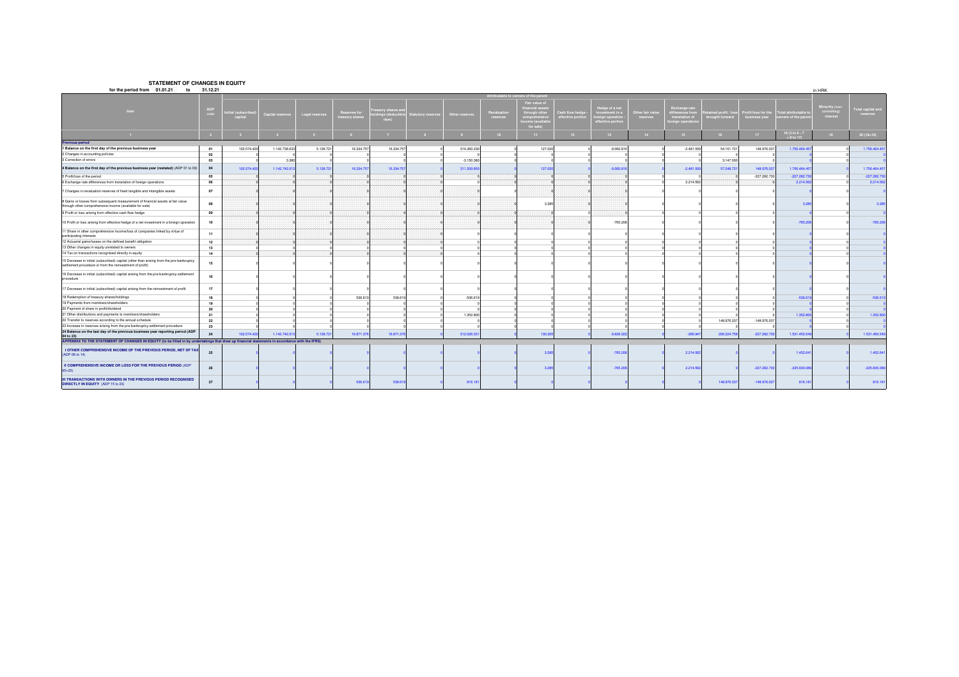#### **STATEMENT OF CHANGES IN EQUITY**

| for the period from 01.01.21<br>to                                                                                                                  | 31.12.21    |                         |                  |                |                               |                                       |                           |                |                      |                                                                               |                                 |                                                                         |                             |                                                                   |                                    |                                    |                                       | in HRK                               |                              |
|-----------------------------------------------------------------------------------------------------------------------------------------------------|-------------|-------------------------|------------------|----------------|-------------------------------|---------------------------------------|---------------------------|----------------|----------------------|-------------------------------------------------------------------------------|---------------------------------|-------------------------------------------------------------------------|-----------------------------|-------------------------------------------------------------------|------------------------------------|------------------------------------|---------------------------------------|--------------------------------------|------------------------------|
|                                                                                                                                                     |             |                         |                  |                |                               |                                       |                           |                |                      | ttributable to owners of the paren                                            |                                 |                                                                         |                             |                                                                   |                                    |                                    |                                       |                                      |                              |
| <b>Item</b>                                                                                                                                         | ADP<br>code | ial (subscri<br>capital | Capital reserve: | Legal reserves | teserves fo<br>reasury shares | asury shares ar<br>ngs (dedu<br>item) | <b>Statutory reserves</b> | Other reserves | Revaluati<br>eserves | Fair value of<br>Through othe<br>comprehensive<br>ncome (availab<br>for sale) | ash flow hed<br>ffective portio | ledge of a nel<br>vestment in a<br>vreign operatior<br>effective portic | ther fair value<br>reserves | Exchange rate<br>lerences fro<br>translation of<br>oreign operati | ined profit / la<br>rought forward | ofit/loss for the<br>business year | tal attributable<br>wners of the pare | linority (no<br>omromng.<br>interest | otal capital and<br>reserves |
|                                                                                                                                                     |             |                         |                  |                |                               |                                       |                           |                |                      | 11                                                                            | 12                              | $-13$                                                                   |                             |                                                                   |                                    | $17-17$                            | 18 (3 to 6 - 7<br>+ 8 to 17)          | 19                                   | 20 (18+19)                   |
| Previous period                                                                                                                                     |             |                         |                  |                |                               |                                       |                           |                |                      |                                                                               |                                 |                                                                         |                             |                                                                   |                                    |                                    |                                       |                                      |                              |
| 1 Balance on the first day of the previous business year                                                                                            | 01          | 102.574.420             | 1.142.738.633    | 5.128.721      | 16.334.757                    | 16.334.757                            |                           | 314.360.230    |                      | 127.020                                                                       |                                 | $-9.060.816$                                                            |                             | $-2.481.509$                                                      | 54.101.721                         | 148.976.037                        | 1,756,464,45                          |                                      | 1.756.464.457                |
| 2 Changes in accounting policies                                                                                                                    | 02          |                         |                  |                |                               |                                       |                           |                |                      |                                                                               |                                 |                                                                         |                             |                                                                   |                                    |                                    |                                       |                                      |                              |
| 3 Correction of errors                                                                                                                              | 03          |                         | 3.380            |                |                               |                                       |                           | $-3.150.38$    |                      |                                                                               |                                 |                                                                         |                             |                                                                   | 3.147.000                          |                                    |                                       |                                      |                              |
| 4 Balance on the first day of the previous business year (restated) (ADP 01 to 03)                                                                  | 04          | 102.574.420             | 1.142.742.013    | 5.128.721      | 16.334.757                    | 16.334.757                            |                           | 311.209.85     |                      | 127.020                                                                       |                                 | $-9.060.81$                                                             |                             | $-2.481.509$                                                      | 57.248.721                         | 148.976.037                        | 1.756.464.45                          |                                      | 1.756.464.457                |
| 5 Profit/loss of the period                                                                                                                         | 05          |                         |                  |                |                               |                                       |                           |                |                      |                                                                               |                                 |                                                                         |                             |                                                                   |                                    | $-227.282.730$                     | $-227.282.73$                         |                                      | $-227.282.730$               |
| 6 Exchange rate differences from translation of foreign operations                                                                                  | 06          |                         |                  |                |                               |                                       |                           |                |                      |                                                                               |                                 |                                                                         |                             | 2.214.562                                                         |                                    |                                    | 2.214.56                              |                                      | 2.214.562                    |
| 7 Changes in revaluation reserves of fixed tangible and intangible assets                                                                           | 07          |                         |                  |                |                               |                                       |                           |                |                      |                                                                               |                                 |                                                                         |                             |                                                                   |                                    |                                    |                                       |                                      |                              |
| 8 Gains or losses from subsequent measurement of financial assets at fair value<br>through other comprehensive income (available for sale)          | 08          |                         |                  |                |                               |                                       |                           |                |                      | 3.285                                                                         |                                 |                                                                         |                             |                                                                   |                                    |                                    | 3.28                                  |                                      | 3.285                        |
| 9 Profit or loss arising from effective cash flow hedge                                                                                             | 09          |                         |                  |                |                               |                                       |                           |                |                      |                                                                               |                                 |                                                                         |                             |                                                                   |                                    |                                    |                                       |                                      |                              |
| 10 Profit or loss arising from effective hedge of a net investment in a foreign operation                                                           | 10          |                         |                  |                |                               |                                       |                           |                |                      |                                                                               |                                 | $-765.206$                                                              |                             |                                                                   |                                    |                                    | $-765.206$                            |                                      | $-765.206$                   |
| 11 Share in other comprehensive income/loss of companies linked by virtue of<br>participating interests                                             | 11          |                         |                  |                |                               |                                       |                           |                |                      |                                                                               |                                 |                                                                         |                             |                                                                   |                                    |                                    |                                       |                                      |                              |
| 12 Actuarial gains/losses on the defined benefit obligation                                                                                         | 12          |                         |                  |                |                               |                                       |                           |                |                      |                                                                               |                                 |                                                                         |                             |                                                                   |                                    |                                    |                                       |                                      |                              |
| 13 Other changes in equity unrelated to owners                                                                                                      | 13          |                         |                  |                |                               |                                       |                           |                |                      |                                                                               |                                 |                                                                         |                             |                                                                   |                                    |                                    |                                       |                                      |                              |
| 14 Tax on transactions recognised directly in equity                                                                                                | 14          |                         |                  |                |                               |                                       |                           |                |                      |                                                                               |                                 |                                                                         |                             |                                                                   |                                    |                                    |                                       |                                      |                              |
| 15 Decrease in initial (subscribed) capital (other than arising from the pre-bankruptcy<br>settlement procedure or from the reinvestment of profit) | 15          |                         |                  |                |                               |                                       |                           |                |                      |                                                                               |                                 |                                                                         |                             |                                                                   |                                    |                                    |                                       |                                      |                              |
| 16 Decrease in initial (subscribed) capital arising from the pre-bankruptcy settlement<br>procedure                                                 | 16          |                         |                  |                |                               |                                       |                           |                |                      |                                                                               |                                 |                                                                         |                             |                                                                   |                                    |                                    |                                       |                                      |                              |
| 17 Decrease in initial (subscribed) capital arising from the reinvestment of profit                                                                 | 17          |                         |                  |                |                               |                                       |                           |                |                      |                                                                               |                                 |                                                                         |                             |                                                                   |                                    |                                    |                                       |                                      |                              |
| 18 Redemption of treasury shares/holdings                                                                                                           | 18          |                         |                  |                | 536.619                       | 536,619                               |                           | $-536.619$     |                      |                                                                               |                                 |                                                                         |                             |                                                                   |                                    |                                    | $-536.61$                             |                                      | $-536.619$                   |
| 19 Payments from members/shareholders                                                                                                               | 19          |                         |                  |                |                               |                                       |                           |                |                      |                                                                               |                                 |                                                                         |                             |                                                                   |                                    |                                    |                                       |                                      |                              |
| 20 Payment of share in profit/dividend                                                                                                              | 20          |                         |                  |                |                               |                                       |                           |                |                      |                                                                               |                                 |                                                                         |                             |                                                                   |                                    |                                    |                                       |                                      |                              |
| 21 Other distributions and payments to members/shareholders                                                                                         | 21          |                         |                  |                |                               |                                       |                           | 1.352.800      |                      |                                                                               |                                 |                                                                         |                             |                                                                   |                                    |                                    | 1.352.80                              |                                      | 1.352.800                    |
| 22 Transfer to reserves according to the annual schedule                                                                                            | 22          |                         |                  |                |                               |                                       |                           |                |                      |                                                                               |                                 |                                                                         |                             |                                                                   | 148.976.037                        | $-148.976.03$                      |                                       |                                      |                              |
| 23 Increase in reserves arising from the pre-bankruptcy settlement procedure                                                                        | 23          |                         |                  |                |                               |                                       |                           |                |                      |                                                                               |                                 |                                                                         |                             |                                                                   |                                    |                                    |                                       |                                      |                              |
| 24 Balance on the last day of the previous business year reporting period (ADP<br>04 to 23)                                                         | 24          | 102.574.420             | 1.142.742.01     | 5.128.721      | 16,871,376                    | 16,871,376                            |                           | 312,026.03     |                      | 130,305                                                                       |                                 | $-9.826.02$                                                             |                             | $-266.947$                                                        | 206.224.758                        | $-227.282.73$                      | 1.531.450.549                         |                                      | 1.531.450.549                |
| APPENDIX TO THE STATEMENT OF CHANGES IN EQUITY (to be filled in by undertakings that draw up financial statements in accordance with the IFRS)      |             |                         |                  |                |                               |                                       |                           |                |                      |                                                                               |                                 |                                                                         |                             |                                                                   |                                    |                                    |                                       |                                      |                              |
| I OTHER COMPREHENSIVE INCOME OF THE PREVIOUS PERIOD, NET OF TAX<br>(ADP 06 to 14)                                                                   | 25          |                         |                  |                |                               |                                       |                           |                |                      | 3.28                                                                          |                                 | $-765.206$                                                              |                             | 2.214.562                                                         |                                    |                                    | 1.452.64                              |                                      | 1.452.641                    |
| II COMPREHENSIVE INCOME OR LOSS FOR THE PREVIOUS PERIOD (ADP<br>$05*25$                                                                             | 26          |                         |                  |                |                               |                                       |                           |                |                      | 3.28                                                                          |                                 | $-765.206$                                                              |                             | 2.214.562                                                         |                                    | $-227.282.730$                     | $-225.830.08$                         |                                      | $-225.830.089$               |
| III TRANSACTIONS WITH OWNERS IN THE PREVIOUS PERIOD RECOGNISED<br>DIRECTLY IN EQUITY (ADP 15 to 23)                                                 | 27          |                         |                  |                | 536,61                        | 536,619                               |                           | 816.18         |                      |                                                                               |                                 |                                                                         |                             |                                                                   | 148.976.037                        | $-148.976.037$                     | 816.18                                |                                      | 816.181                      |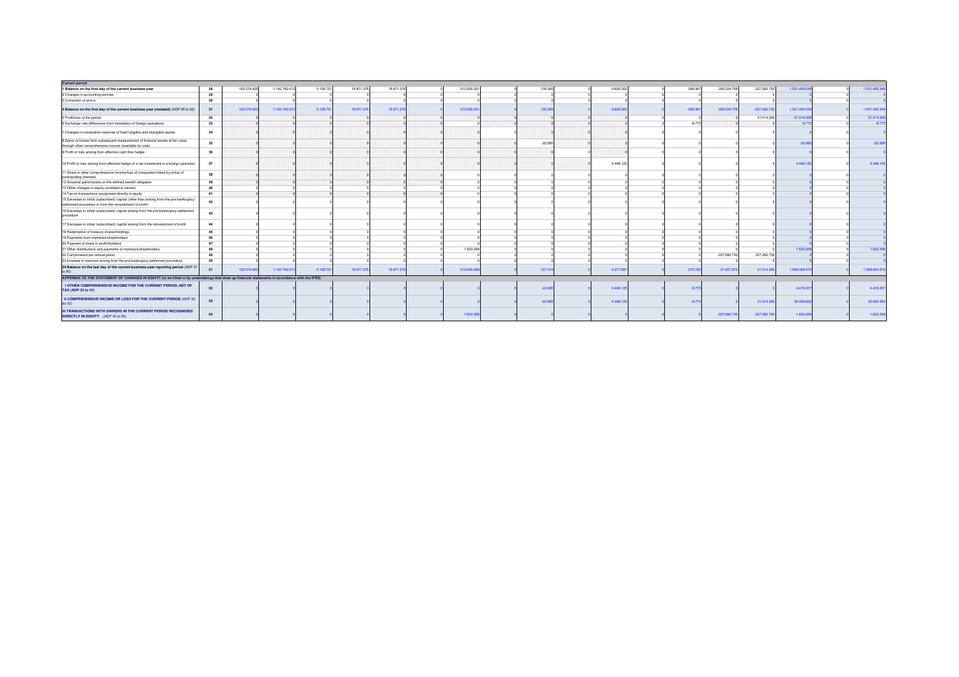| <b>Current period</b>                                                                                                                               |    |             |              |           |            |            |            |           |              |            |                |                |               |               |
|-----------------------------------------------------------------------------------------------------------------------------------------------------|----|-------------|--------------|-----------|------------|------------|------------|-----------|--------------|------------|----------------|----------------|---------------|---------------|
| 1 Balance on the first day of the current business year                                                                                             | 28 | 102.574.420 | 1.142.742.01 | 5.128.721 | 16.871.376 | 16.871.376 | 312.026.03 | 130.305   | $-9.826.022$ | $-266.947$ | 206.224.758    | $-227.282.730$ | 1.531.450.54  | 1.531.450.549 |
| 2 Changes in accounting policies                                                                                                                    | 29 |             |              |           |            |            |            |           |              |            |                |                |               |               |
| 3 Correction of errors                                                                                                                              | 30 |             |              |           |            |            |            |           |              |            |                |                |               |               |
| 4 Balance on the first day of the current business year (restated) (AOP 28 to 30)                                                                   | 31 | 102.574.420 | 1.142.742.01 | 5.128.721 | 16,871,376 | 16,871,376 | 312,026.03 | 130.30    | $-9.826.022$ | $-266.947$ | 206.224.75     | $-227.282.730$ | 1.531.450.549 | 1.531.450.549 |
| 5 Profit/loss of the period                                                                                                                         | 32 |             |              |           |            |            |            |           |              |            |                | 31.514.306     | 31.514.30     | 31.514.306    |
| 6 Exchange rate differences from translation of foreign operations                                                                                  | 33 |             |              |           |            |            |            |           |              | $-8.773$   |                |                | $-8.77$       | $-8.773$      |
| 7 Changes in revaluation reserves of fixed tangible and intangible assets                                                                           | 34 |             |              |           |            |            |            |           |              |            |                |                |               |               |
| 8 Gains or losses from subsequent measurement of financial assets at fair value<br>through other comprehensive income (available for sale)          | 35 |             |              |           |            |            |            | $-22.995$ |              |            |                |                | $-22.99$      | $-22.995$     |
| 9 Profit or loss arising from effective cash flow hedge                                                                                             | 36 |             |              |           |            |            |            |           |              |            |                |                |               |               |
| 10 Profit or loss arising from effective hedge of a net investment in a foreign operation                                                           | 37 |             |              |           |            |            |            |           | 4.448.125    |            |                |                | 4,448.12      | 4.448.125     |
| 11 Share in other comprehensive income/loss of companies linked by virtue of<br>participating interests                                             | 38 |             |              |           |            |            |            |           |              |            |                |                |               |               |
| 12 Actuarial gains/losses on the defined benefit obligation                                                                                         | 39 |             |              |           |            |            |            |           |              |            |                |                |               |               |
| 13 Other changes in equity unrelated to owners                                                                                                      | 40 |             |              |           |            |            |            |           |              |            |                |                |               |               |
| 14 Tax on transactions recognised directly in equity                                                                                                | 41 |             |              |           |            |            |            |           |              |            |                |                |               |               |
| 15 Decrease in initial (subscribed) capital (other than arising from the pre-bankruptcy<br>settlement procedure or from the reinvestment of profit) | 42 |             |              |           |            |            |            |           |              |            |                |                |               |               |
| 16 Decrease in initial (subscribed) capital arising from the pre-bankruptcy settlement<br>procedure                                                 | 43 |             |              |           |            |            |            |           |              |            |                |                |               |               |
| 17 Decrease in initial (subscribed) capital arising from the reinvestment of profit                                                                 | 44 |             |              |           |            |            |            |           |              |            |                |                |               |               |
| 18 Redemption of treasury shares/holdings                                                                                                           | 45 |             |              |           |            |            |            |           |              |            |                |                |               |               |
| 19 Payments from members/shareholders                                                                                                               | 46 |             |              |           |            |            |            |           |              |            |                |                |               |               |
| 20 Payment of share in profit/dividend                                                                                                              | 47 |             |              |           |            |            |            |           |              |            |                |                |               |               |
| 21 Other distributions and payments to members/shareholders                                                                                         | 48 |             |              |           |            |            | 1.623.358  |           |              |            |                |                | 1.623.35      | 1.623.358     |
| 22 Carryforward per annual plane                                                                                                                    | 49 |             |              |           |            |            |            |           |              |            | $-227.282.730$ | 227.282.730    |               |               |
| 23 Increase in reserves arising from the pre-bankruptcy settlement procedure                                                                        | 50 |             |              |           |            |            |            |           |              |            |                |                |               |               |
| 24 Balance on the last day of the current business year reporting period (ADP 3                                                                     | 51 | 102.574.420 | 1.142.742.01 | 5.128.721 | 16,871,376 | 16,871,376 | 313,649.38 | 107,31    | $-5.377.897$ | $-275.720$ | $-21.057.972$  | 31.514.306     | 1.569.004.570 | 1.569.004.570 |
| APPENDIX TO THE STATEMENT OF CHANGES IN EQUITY (to be filled in by undertakings that draw up financial statements in accordance with the IFRS)      |    |             |              |           |            |            |            |           |              |            |                |                |               |               |
| I OTHER COMPREHENSIVE INCOME FOR THE CURRENT PERIOD, NET OF<br>TAX (ADP 33 to 41)                                                                   | 52 |             |              |           |            |            |            | $-22.99$  | 4.448.125    | $-8.773$   |                |                | 4.416.357     | 4.416.357     |
| II COMPREHENSIVE INCOME OR LOSS FOR THE CURRENT PERIOD (ADP 32<br>do 52)                                                                            | 53 |             |              |           |            |            |            | $-22.99$  | 4.448.125    | $-8.77$    |                | 31.514.306     | 35.930.663    | 35.930.663    |
| <b>III TRANSACTIONS WITH OWNERS IN THE CURRENT PERIOD RECOGNISED</b><br>DIRECTLY IN EQUITY (ADP 42 to 50)                                           | 54 |             |              |           |            |            | 1.623.35   |           |              |            | $-227.282.73$  | 227.282.730    | 1.623.358     | 1.623.358     |
|                                                                                                                                                     |    |             |              |           |            |            |            |           |              |            |                |                |               |               |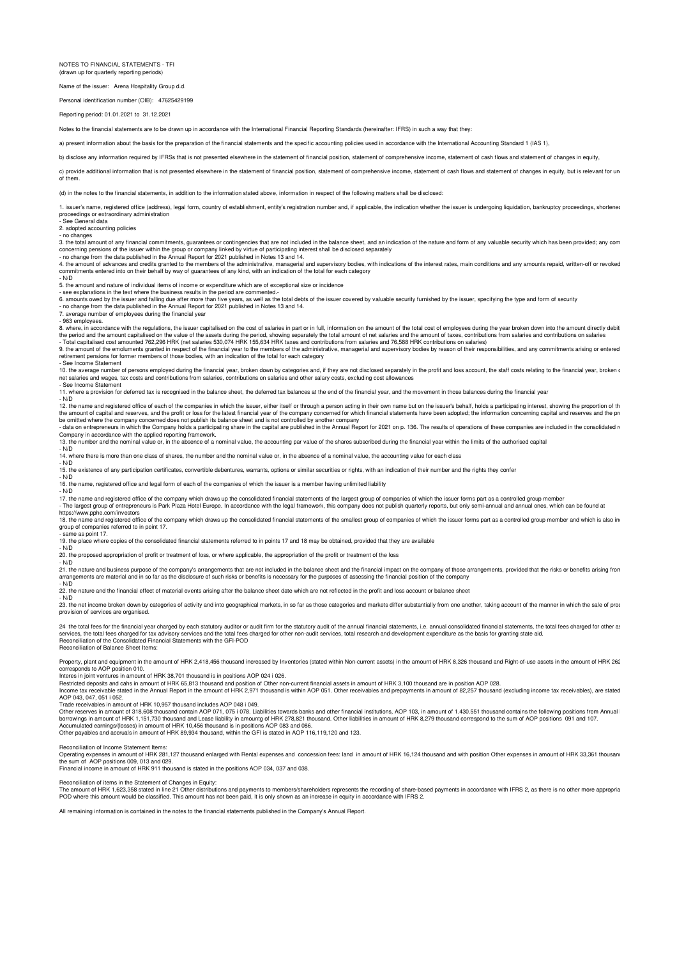NOTES TO FINANCIAL STATEMENTS - TFI (drawn up for quarterly reporting period

Name of the issuer: Arena Hospitality Group d.d.

Personal identification number (OIB): 47625429199

Reporting period: 01.01.2021 to 31.12.2021

Notes to the financial statements are to be drawn up in accordance with the International Financial Reporting Standards (hereinafter: IFRS) in such a way that they:

a) present information about the basis for the preparation of the financial statements and the specific accounting policies used in accordance with the International Accounting Standard 1 (IAS 1),

b) disclose any information required by IFRSs that is not presented elsewhere in the statement of financial position, statement of comprehensive income, statement of cash flows and statement of changes in equity,

c) provide additional information that is not presented elsewhere in the statement of financial position statement of comprehensive income, statement of cash flows and statement of changes in equity, but is relevant for un of them.

(d) in the notes to the financial statements, in addition to the information stated above, information in respect of the following matters shall be disclosed:

1. issuer's name, registered office (address), legal form, country of establishment, entity's registration number and, if applicable, the indication whether the issuer is undergoing liquidation, bankruptcy proceedings, sho

- See General data 2. adopted accounting policies

- ........<br>- no changes

3. the total amount of any financial commitments, guarantees or contingencies that are not included in the balance sheet, and an indication of the nature and form of any valuable security which has been provided; any com<br>c

4. the amount of advances and credits granted to the members of the administrative, managerial and supervisory bodies, with indications of the interest rates, main conditions and any amounts repaid, written-off or revoked<br> - N/D

5. the amount and nature of individual items of income or expenditure which are of exceptional size or incidence

- see explanations in the text where the business results in the period are commented.

6. amounts owed by the issuer and falling due after more than five years, as well as the total debts of the issuer covered by valuable security furnished by the issuer, specifying the type and form of security<br>- no change

7. average number of employees during the financial year

- 963 employees.

8. where, in accordance with the regulations, the issuer capitalised on the cost of salaries in part or in full, information on the amount of the total cost of employees during the year broken down into the amount directly

retirement pensions for former members of those bodies, with an indication of the total for each category

**See Income Statement** 

10. The average number of persons employed during the financial year, broken down by categories and, if they are not disclosed separately in the profit and loss account, the staff costs relating to the financial year, brok net salaries and wages, tax costs and contributions from salaries, contributions on salaries and other salary costs, excluding cost allowances - See Income Statement

11. where a provision for deferred tax is recognised in the balance sheet, the deferred tax balances at the end of the financial year, and the movement in those balances during the financial year.

 $N/D$ 

12. the name and registered office of each of the companies in which the issuer, either itself or through a person acting in their own name but on the issuer's behalf, holds a participating interest, showing the proportion

be omitted where the company concerned does not publish its balance sheet and is not controlled by another company<br>- data on entrepreneurs in which the Company holds a participating share in the capital are published in th

13. the number and the nominal value or, in the absence of a nominal value, the accounting par value of the shares subscribed during the financial year within the limits of the authorised capital the financial year within

- N/D

14. where there is more than one class of shares, the number and the nominal value or, in the absence of a nominal value, the accounting value for each class

N/D

15. the existence of any participation certificates, convertible debentures, warrants, options or similar securities or rights, with an indication of their number and the rights they confer

- N/D

16. the name, registered office and legal form of each of the companies of which the issuer is a member having unlimited liability - N/D

17. the name and registered office of the company which draws up the consolidated financial statements of the largest group of companies of which the issuer forms part as a controlled group member<br>- The largest group of en https://www.pphe.com/investors

13. The name and registered office of the company which draws up the consolidated financial statements of the smallest group of companies of which the issuer forms part as a controlled group member and which is also in

group of companies referred to in point 17. - same as point 17.

19. the place where copies of the consolidated financial statements referred to in points 17 and 18 may be obtained, provided that they are available

- N/D

20. the proposed appropriation of profit or treatment of loss, or where applicable, the appropriation of the profit or treatment of the loss - N/D

- w-<br>21. the nature and business purpose of the company's arrangements that are not included in the balance sheet and the financial impact on the company of those arrangements, provided that the risks or benefits arising f arrangements are material and in so far as the disclosure of such risks or benefits is necessary for the purposes of assessing the financial position of the company

- N/D

<sup>1</sup> v<sub>2</sub>. the nature and the financial effect of material events arising after the balance sheet date which are not reflected in the profit and loss account or balance sheet

- N/D

The net income broken down by categories of activity and into geographical markets, in so far as those categories and markets differ substantially from one another, taking account of the manner in which the sale of product provision of services are organised

24 the total fees for the financial year charged by each statutory auditor or audit firm for the statutory audit of the annual financial statements, i.e. annual consolidated financial statements, the total fees charged for Reconciliation of the Consolidated Financial Statements with the GFI-POD Reconciliation of Balance Sheet Items:

Property, plant and equipment in the amount of HRK 2,418,456 thousand increased by Inventories (stated within Non-current assets) in the amount of HRK 8,326 thousand and Right-of-use assets in the amount of HRK 262 corresponds to AOP position 010.

Interes in joint ventures in amount of HRK 38,701 thousand is in positions AOP 024 i 026.

Restricted deposits and cahs in amount of HRK 65,813 thousand and position of Other non-current financial assets in amount of HRK 3,100 thousand are in position AOP 028.<br>Income tax receivable stated in the Amnual Report in

Trade receivables in amount of HRK 10,957 thousand includes AOP 048 i 049.

Other reserves in amount of 318,608 thousand contain AOP 071, 075 i 078. Liabilities towards banks and other financial institutions, AOP 103, in amount of 1.430.551 thousand contains the following positions from Annual<br>bor

Accumulated earnings/(losses) in amount of HRK 10,456 thousand is in positions AOP 083 and 086. Other payables and accruals in amount of HRK 89,934 thousand, within the GFI is stated in AOP 116,119,120 and 123.

Reconciliation of Income Statement Items:<br>Operating expenses in amount of HRK 281,127 thousand enlarged with Rental expenses and concession fees: land in amount of HRK 16,124 thousand and with position Other expenses in a

Financial income in amount of HRK 911 thousand is stated in the positions AOP 034, 037 and 038.

Reconciliation of items in the Statement of Changes in Equity:<br>The amount of HRK 1,623,358 stated in line 21 Other distributions and payments to members/shareholders represents the recording of share-based payments in acco POD where this amount would be classified. This amount has not been paid, it is only shown as an increase in equity in accordance with IFRS 2.

All remaining information is contained in the notes to the financial statements published in the Company's Annual Report.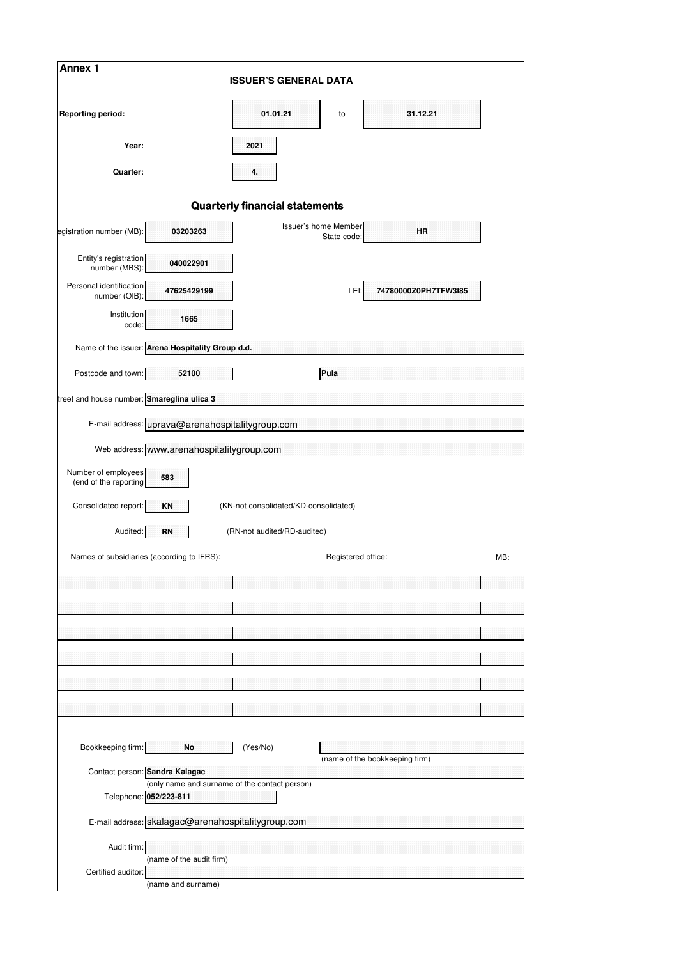| Annex 1                                      |                                                    | <b>ISSUER'S GENERAL DATA</b>                  |                                     |                                |     |
|----------------------------------------------|----------------------------------------------------|-----------------------------------------------|-------------------------------------|--------------------------------|-----|
| <b>Reporting period:</b>                     |                                                    | 01.01.21                                      | to                                  | 31.12.21                       |     |
| Year:                                        |                                                    | 2021                                          |                                     |                                |     |
| Quarter:                                     |                                                    | 4.                                            |                                     |                                |     |
|                                              |                                                    | <b>Quarterly financial statements</b>         |                                     |                                |     |
| egistration number (MB):                     | 03203263                                           |                                               | Issuer's home Member<br>State code: | <b>HR</b>                      |     |
| Entity's registration<br>number (MBS):       | 040022901                                          |                                               |                                     |                                |     |
| Personal identification<br>number (OIB):     | 47625429199                                        |                                               | LEI:                                | 74780000Z0PH7TFW3I85           |     |
| Institution<br>code:                         | 1665                                               |                                               |                                     |                                |     |
|                                              | Name of the issuer: Arena Hospitality Group d.d.   |                                               |                                     |                                |     |
| Postcode and town:                           | 52100                                              |                                               | Pula                                |                                |     |
| treet and house number: Smareglina ulica 3   |                                                    |                                               |                                     |                                |     |
|                                              | E-mail address: uprava@arenahospitalitygroup.com   |                                               |                                     |                                |     |
|                                              | Web address: www.arenahospitalitygroup.com         |                                               |                                     |                                |     |
| Number of employees<br>(end of the reporting | 583                                                |                                               |                                     |                                |     |
| Consolidated report:                         | <b>KN</b>                                          | (KN-not consolidated/KD-consolidated)         |                                     |                                |     |
| Audited:                                     | RN                                                 | (RN-not audited/RD-audited)                   |                                     |                                |     |
|                                              | Names of subsidiaries (according to IFRS):         |                                               | Registered office:                  |                                | MB: |
|                                              |                                                    |                                               |                                     |                                |     |
|                                              |                                                    |                                               |                                     |                                |     |
|                                              |                                                    |                                               |                                     |                                |     |
|                                              |                                                    |                                               |                                     |                                |     |
|                                              |                                                    |                                               |                                     |                                |     |
|                                              |                                                    |                                               |                                     |                                |     |
|                                              |                                                    |                                               |                                     |                                |     |
| Bookkeeping firm:                            | No                                                 | (Yes/No)                                      |                                     | (name of the bookkeeping firm) |     |
|                                              | Contact person: Sandra Kalagac                     | (only name and surname of the contact person) |                                     |                                |     |
|                                              | Telephone: 052/223-811                             |                                               |                                     |                                |     |
|                                              | E-mail address: skalagac@arenahospitalitygroup.com |                                               |                                     |                                |     |
| Audit firm:                                  |                                                    |                                               |                                     |                                |     |
| Certified auditor:                           | (name of the audit firm)                           |                                               |                                     |                                |     |
|                                              | (name and surname)                                 |                                               |                                     |                                |     |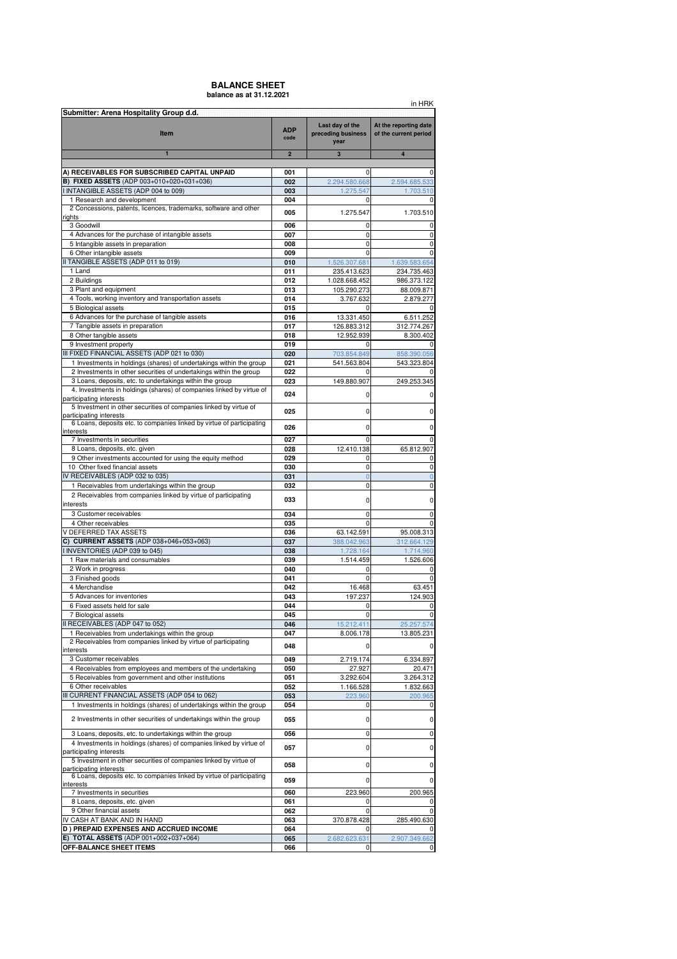### **BALANCE SHEET balance as at 31.12.2021**

|                                                                                                                                                                       |                    |                                               | in HRK                                         |
|-----------------------------------------------------------------------------------------------------------------------------------------------------------------------|--------------------|-----------------------------------------------|------------------------------------------------|
| Submitter: Arena Hospitality Group d.d.<br>Item                                                                                                                       | <b>ADP</b><br>code | Last day of the<br>preceding business<br>year | At the reporting date<br>of the current period |
| $\blacksquare$                                                                                                                                                        | $\overline{2}$     | $\overline{\mathbf{3}}$                       | $\overline{4}$                                 |
| A) RECEIVABLES FOR SUBSCRIBED CAPITAL UNPAID                                                                                                                          | 001                | 0                                             | 0                                              |
| <b>B) FIXED ASSETS</b> (ADP 003+010+020+031+036)                                                                                                                      | 002                | 2.294.580.668                                 | 2.594.685.533                                  |
| I INTANGIBLE ASSETS (ADP 004 to 009)                                                                                                                                  | 003                | 1.275.547                                     | 1.703.510                                      |
| 1 Research and development                                                                                                                                            | 004                | 0                                             | 0                                              |
| 2 Concessions, patents, licences, trademarks, software and other<br>rights                                                                                            | 005                | 1.275.547                                     | 1.703.510                                      |
| 3 Goodwill                                                                                                                                                            | 006                | 0                                             | 0                                              |
| 4 Advances for the purchase of intangible assets                                                                                                                      | 007                | $\mathbf 0$                                   | 0                                              |
| 5 Intangible assets in preparation                                                                                                                                    | 008                | 0                                             | 0                                              |
| 6 Other intangible assets<br>II TANGIBLE ASSETS (ADP 011 to 019)                                                                                                      | 009                | 0<br>1.526.307.681                            | 0                                              |
| 1 Land                                                                                                                                                                | 010<br>011         | 235.413.623                                   | 1.639.583.654<br>234.735.463                   |
| 2 Buildings                                                                                                                                                           | 012                | 1.028.668.452                                 | 986.373.122                                    |
| 3 Plant and equipment                                                                                                                                                 | 013                | 105.290.273                                   | 88.009.871                                     |
| 4 Tools, working inventory and transportation assets                                                                                                                  | 014                | 3.767.632                                     | 2.879.277                                      |
| 5 Biological assets                                                                                                                                                   | 015                |                                               |                                                |
| 6 Advances for the purchase of tangible assets<br>7 Tangible assets in preparation                                                                                    | 016<br>017         | 13.331.450<br>126.883.312                     | 6.511.252<br>312.774.267                       |
| 8 Other tangible assets                                                                                                                                               | 018                | 12.952.939                                    | 8.300.402                                      |
| 9 Investment property                                                                                                                                                 | 019                | 0                                             |                                                |
| III FIXED FINANCIAL ASSETS (ADP 021 to 030)                                                                                                                           | 020                | 703.854.849                                   | 858.390.056                                    |
| 1 Investments in holdings (shares) of undertakings within the group                                                                                                   | 021                | 541.563.804                                   | 543.323.804                                    |
| 2 Investments in other securities of undertakings within the group                                                                                                    | 022                | O                                             |                                                |
| 3 Loans, deposits, etc. to undertakings within the group<br>4. Investments in holdings (shares) of companies linked by virtue of                                      | 023                | 149.880.907                                   | 249.253.345                                    |
| participating interests<br>5 Investment in other securities of companies linked by virtue of                                                                          | 024                | 0                                             | 0                                              |
| participating interests<br>6 Loans, deposits etc. to companies linked by virtue of participating                                                                      | 025                | 0                                             | 0                                              |
| interests<br>7 Investments in securities                                                                                                                              | 026<br>027         | 0<br>$\mathbf 0$                              | 0<br>0                                         |
| 8 Loans, deposits, etc. given                                                                                                                                         | 028                | 12.410.138                                    | 65.812.907                                     |
| 9 Other investments accounted for using the equity method                                                                                                             | 029                | 0                                             | 0                                              |
| 10 Other fixed financial assets                                                                                                                                       | 030                | 0                                             | 0                                              |
| IV RECEIVABLES (ADP 032 to 035)                                                                                                                                       | 031                | $\overline{0}$                                | $\overline{0}$                                 |
| 1 Receivables from undertakings within the group<br>2 Receivables from companies linked by virtue of participating<br>interests                                       | 032<br>033         | 0<br>0                                        | 0<br>0                                         |
| 3 Customer receivables                                                                                                                                                | 034                | 0                                             | 0                                              |
| 4 Other receivables                                                                                                                                                   | 035                | 0                                             | 0                                              |
| V DEFERRED TAX ASSETS                                                                                                                                                 | 036                | 63.142.591                                    | 95.008.313                                     |
| C) CURRENT ASSETS (ADP 038+046+053+063)                                                                                                                               | 037                | 388.042.963                                   | 312.664.129                                    |
| I INVENTORIES (ADP 039 to 045)                                                                                                                                        | 038                | 1.728.164                                     | 1.714.960                                      |
| 1 Raw materials and consumables<br>2 Work in progress                                                                                                                 | 039<br>040         | 1.514.459<br>0                                | 1.526.606<br>0                                 |
| 3 Finished goods                                                                                                                                                      | 041                | $\mathbf 0$                                   | 0                                              |
| 4 Merchandise                                                                                                                                                         | 042                | 16.468                                        | 63.451                                         |
| 5 Advances for inventories                                                                                                                                            | 043                | 197.237                                       | 124.903                                        |
| 6 Fixed assets held for sale                                                                                                                                          | 044                | 0                                             | 0                                              |
| 7 Biological assets                                                                                                                                                   | 045                | 0                                             | 0                                              |
| II RECEIVABLES (ADP 047 to 052)<br>1 Receivables from undertakings within the group                                                                                   | 046<br>047         | 15.212.411<br>8.006.178                       | 25.257.574<br>13.805.231                       |
| 2 Receivables from companies linked by virtue of participating<br>interests                                                                                           | 048                | 0                                             | 0                                              |
| 3 Customer receivables                                                                                                                                                | 049                | 2.719.174                                     | 6.334.897                                      |
| 4 Receivables from employees and members of the undertaking                                                                                                           | 050                | 27.927                                        | 20.471                                         |
| 5 Receivables from government and other institutions                                                                                                                  | 051                | 3.292.604                                     | 3.264.312                                      |
| 6 Other receivables                                                                                                                                                   | 052                | 1.166.528                                     | 1.832.663                                      |
| III CURRENT FINANCIAL ASSETS (ADP 054 to 062)<br>1 Investments in holdings (shares) of undertakings within the group                                                  | 053                | 223.960                                       | 200.965                                        |
| 2 Investments in other securities of undertakings within the group                                                                                                    | 054<br>055         | 0<br>0                                        | 0<br>0                                         |
| 3 Loans, deposits, etc. to undertakings within the group                                                                                                              | 056                | 0                                             | 0                                              |
| 4 Investments in holdings (shares) of companies linked by virtue of<br>participating interests                                                                        | 057                | 0                                             | 0                                              |
| 5 Investment in other securities of companies linked by virtue of<br>participating interests<br>6 Loans, deposits etc. to companies linked by virtue of participating | 058                | 0                                             | 0                                              |
| interests<br>7 Investments in securities                                                                                                                              | 059<br>060         | $\mathbf 0$<br>223.960                        | 0<br>200.965                                   |
| 8 Loans, deposits, etc. given                                                                                                                                         | 061                | 0                                             | 0                                              |
| 9 Other financial assets                                                                                                                                              | 062                | 0                                             | 0                                              |
| IV CASH AT BANK AND IN HAND                                                                                                                                           | 063                | 370.878.428                                   | 285.490.630                                    |
| D) PREPAID EXPENSES AND ACCRUED INCOME                                                                                                                                | 064                |                                               |                                                |
| E) TOTAL ASSETS (ADP 001+002+037+064)<br>OFF-BALANCE SHEET ITEMS                                                                                                      | 065<br>066         | 2.682.623.631<br>0                            | 2.907.349.662<br>0                             |
|                                                                                                                                                                       |                    |                                               |                                                |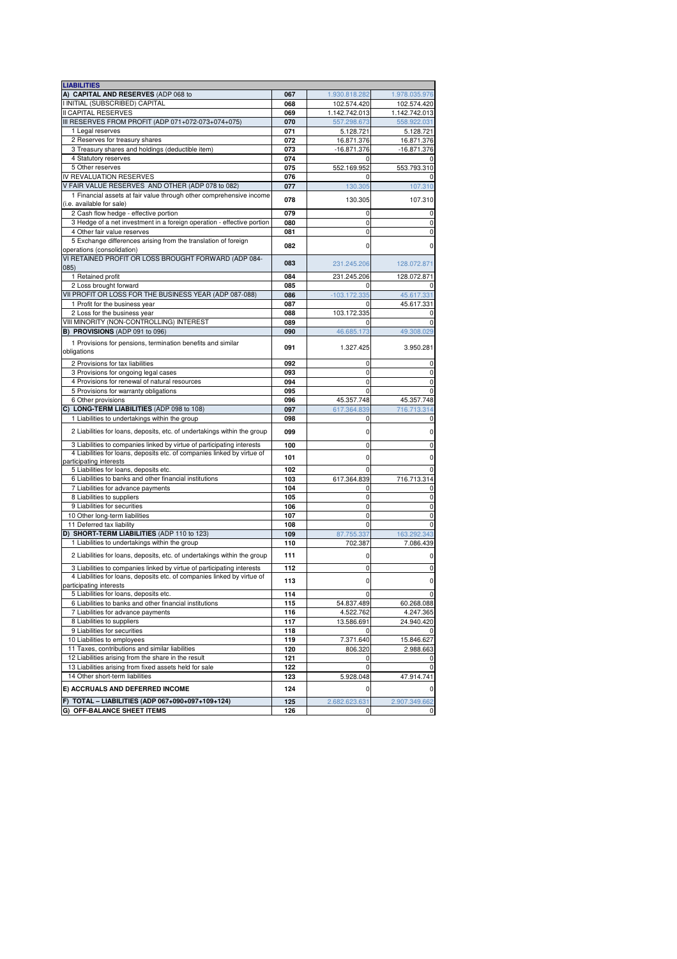| <b>LIABILITIES</b>                                                       |     |                |               |
|--------------------------------------------------------------------------|-----|----------------|---------------|
| A) CAPITAL AND RESERVES (ADP 068 to                                      | 067 | 1.930.818.282  | 1.978.035.976 |
| I INITIAL (SUBSCRIBED) CAPITAL                                           | 068 | 102.574.420    | 102.574.420   |
| <b>II CAPITAL RESERVES</b>                                               | 069 | 1.142.742.013  | 1.142.742.013 |
| III RESERVES FROM PROFIT (ADP 071+072-073+074+075)                       | 070 | 557.298.673    | 558.922.031   |
| 1 Legal reserves                                                         | 071 | 5.128.721      | 5.128.721     |
| 2 Reserves for treasury shares                                           | 072 | 16.871.376     | 16.871.376    |
| 3 Treasury shares and holdings (deductible item)                         | 073 | $-16.871.376$  | $-16.871.376$ |
| 4 Statutory reserves                                                     | 074 | O              | 0             |
| 5 Other reserves                                                         | 075 |                |               |
|                                                                          |     | 552.169.952    | 553.793.310   |
| IV REVALUATION RESERVES                                                  | 076 |                | 0             |
| V FAIR VALUE RESERVES AND OTHER (ADP 078 to 082)                         | 077 | 130.305        | 107.310       |
| 1 Financial assets at fair value through other comprehensive income      | 078 | 130.305        | 107.310       |
| (i.e. available for sale)                                                |     |                |               |
| 2 Cash flow hedge - effective portion                                    | 079 | 0              | 0             |
| 3 Hedge of a net investment in a foreign operation - effective portion   | 080 | $\mathbf 0$    | $\pmb{0}$     |
| 4 Other fair value reserves                                              | 081 | 0              | 0             |
| 5 Exchange differences arising from the translation of foreign           | 082 | 0              | 0             |
| operations (consolidation)                                               |     |                |               |
| VI RETAINED PROFIT OR LOSS BROUGHT FORWARD (ADP 084-                     |     |                |               |
| 085)                                                                     | 083 | 231.245.206    | 128.072.871   |
| 1 Retained profit                                                        | 084 | 231.245.206    | 128.072.871   |
| 2 Loss brought forward                                                   | 085 |                | 0             |
| VII PROFIT OR LOSS FOR THE BUSINESS YEAR (ADP 087-088)                   | 086 | $-103.172.335$ | 45.617.331    |
| 1 Profit for the business year                                           | 087 | 0              | 45.617.331    |
| 2 Loss for the business year                                             | 088 | 103.172.335    | 0             |
| VIII MINORITY (NON-CONTROLLING) INTEREST                                 | 089 | 0              | 0             |
| B) PROVISIONS (ADP 091 to 096)                                           | 090 | 46.685.173     | 49.308.029    |
|                                                                          |     |                |               |
| 1 Provisions for pensions, termination benefits and similar              | 091 | 1.327.425      | 3.950.281     |
| obligations                                                              |     |                |               |
| 2 Provisions for tax liabilities                                         | 092 | 0              | 0             |
| 3 Provisions for ongoing legal cases                                     | 093 | $\mathbf 0$    | 0             |
| 4 Provisions for renewal of natural resources                            | 094 | 0              | 0             |
| 5 Provisions for warranty obligations                                    | 095 | 0              | 0             |
| 6 Other provisions                                                       | 096 | 45.357.748     | 45.357.748    |
|                                                                          | 097 |                | 716.713.314   |
| C) LONG-TERM LIABILITIES (ADP 098 to 108)                                |     | 617.364.839    |               |
| 1 Liabilities to undertakings within the group                           | 098 | 0              | 0             |
| 2 Liabilities for loans, deposits, etc. of undertakings within the group | 099 | 0              | 0             |
| 3 Liabilities to companies linked by virtue of participating interests   | 100 | $\mathbf 0$    | 0             |
| 4 Liabilities for loans, deposits etc. of companies linked by virtue of  |     |                |               |
| participating interests                                                  | 101 | 0              | $\pmb{0}$     |
| 5 Liabilities for loans, deposits etc.                                   | 102 | $\Omega$       | 0             |
| 6 Liabilities to banks and other financial institutions                  | 103 | 617.364.839    | 716.713.314   |
| 7 Liabilities for advance payments                                       | 104 | 0              | 0             |
| 8 Liabilities to suppliers                                               | 105 | $\mathbf 0$    | 0             |
| 9 Liabilities for securities                                             | 106 | 0              | 0             |
| 10 Other long-term liabilities                                           | 107 | 0              | 0             |
| 11 Deferred tax liability                                                | 108 | $\Omega$       | 0             |
|                                                                          |     |                |               |
| D) SHORT-TERM LIABILITIES (ADP 110 to 123)                               | 109 | 87.755.337     | 163.292.343   |
| 1 Liabilities to undertakings within the group                           | 110 | 702.387        | 7.086.439     |
| 2 Liabilities for loans, deposits, etc. of undertakings within the group | 111 | 0              | 0             |
| 3 Liabilities to companies linked by virtue of participating interests   | 112 | 0              | 0             |
| 4 Liabilities for loans, deposits etc. of companies linked by virtue of  |     |                |               |
| participating interests                                                  | 113 | 0              | 0             |
| 5 Liabilities for loans, deposits etc.                                   | 114 |                | 0             |
| 6 Liabilities to banks and other financial institutions                  | 115 | 54.837.489     | 60.268.088    |
| 7 Liabilities for advance payments                                       | 116 | 4.522.762      | 4.247.365     |
|                                                                          |     |                |               |
| 8 Liabilities to suppliers                                               | 117 | 13.586.691     | 24.940.420    |
| 9 Liabilities for securities                                             | 118 | 0              | 0             |
| 10 Liabilities to employees                                              | 119 | 7.371.640      | 15.846.627    |
| 11 Taxes, contributions and similar liabilities                          | 120 | 806.320        | 2.988.663     |
| 12 Liabilities arising from the share in the result                      | 121 | 0              | 0             |
| 13 Liabilities arising from fixed assets held for sale                   | 122 | 0              | 0             |
| 14 Other short-term liabilities                                          | 123 | 5.928.048      | 47.914.741    |
| E) ACCRUALS AND DEFERRED INCOME                                          | 124 | 0              | $\pmb{0}$     |
| F) TOTAL - LIABILITIES (ADP 067+090+097+109+124)                         | 125 | 2.682.623.631  | 2.907.349.662 |
| G) OFF-BALANCE SHEET ITEMS                                               | 126 | 0              | 0             |
|                                                                          |     |                |               |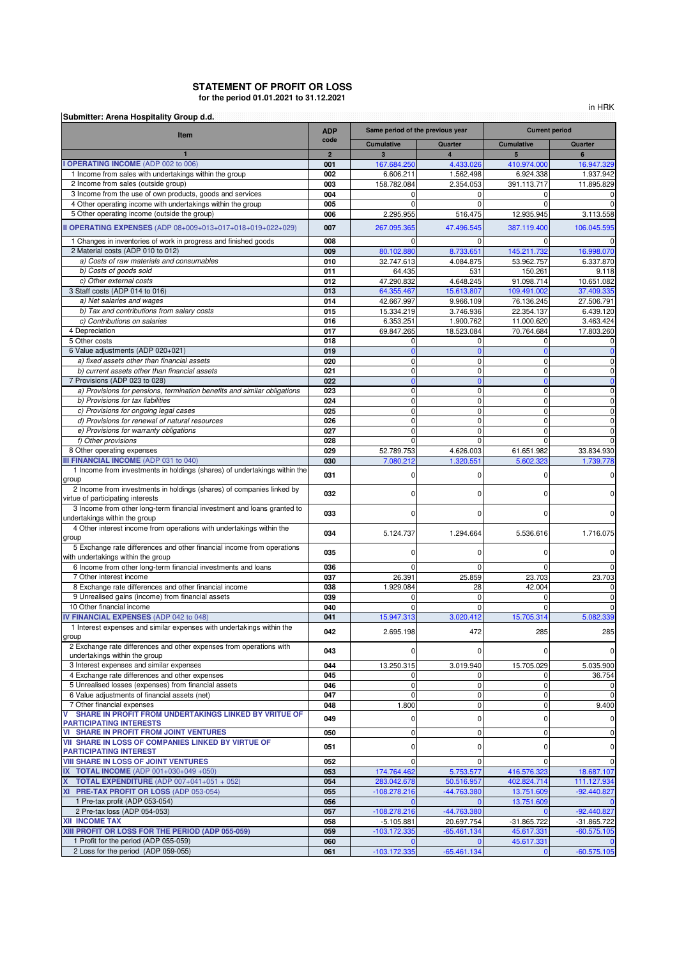## **for the period 01.01.2021 to 31.12.2021 STATEMENT OF PROFIT OR LOSS**

in HRK

| Submitter: Arena Hospitality Group d.d.                                                                      | <b>ADP</b>     |                               | Same period of the previous year |                       | <b>Current period</b> |  |  |  |
|--------------------------------------------------------------------------------------------------------------|----------------|-------------------------------|----------------------------------|-----------------------|-----------------------|--|--|--|
| Item                                                                                                         | code           | <b>Cumulative</b>             | Quarter                          | <b>Cumulative</b>     | Quarter               |  |  |  |
|                                                                                                              | $\overline{2}$ | $\overline{3}$                | $\overline{4}$                   | 5                     | 6                     |  |  |  |
| <b>OPERATING INCOME (ADP 002 to 006)</b>                                                                     | 001            | 167.684.250                   | 4.433.026                        | 410.974.000           | 16.947.329            |  |  |  |
| 1 Income from sales with undertakings within the group                                                       | 002            | 6.606.211                     | 1.562.498                        | 6.924.338             | 1.937.942             |  |  |  |
| 2 Income from sales (outside group)                                                                          | 003            | 158.782.084                   | 2.354.053                        | 391.113.717           | 11.895.829            |  |  |  |
| 3 Income from the use of own products, goods and services                                                    | 004            | $\Omega$                      | 0                                | $\Omega$<br>$\Omega$  | O                     |  |  |  |
| 4 Other operating income with undertakings within the group<br>5 Other operating income (outside the group)  | 005<br>006     |                               | $\Omega$<br>516.475              | 12.935.945            | 0                     |  |  |  |
|                                                                                                              |                | 2.295.955                     |                                  |                       | 3.113.558             |  |  |  |
| II OPERATING EXPENSES (ADP 08+009+013+017+018+019+022+029)                                                   | 007            | 267.095.365                   | 47.496.545                       | 387.119.400           | 106.045.595           |  |  |  |
| 1 Changes in inventories of work in progress and finished goods                                              | 008            | $\Omega$                      | 0                                | $\Omega$              | 0                     |  |  |  |
| 2 Material costs (ADP 010 to 012)                                                                            | 009            | 80.102.880                    | 8.733.651                        | 145.211.732           | 16.998.070            |  |  |  |
| a) Costs of raw materials and consumables                                                                    | 010            | 32.747.613                    | 4.084.875                        | 53.962.757            | 6.337.870             |  |  |  |
| b) Costs of goods sold<br>c) Other external costs                                                            | 011<br>012     | 64.435<br>47.290.832          | 531<br>4.648.245                 | 150.261<br>91.098.714 | 9.118<br>10.651.082   |  |  |  |
| 3 Staff costs (ADP 014 to 016)                                                                               | 013            | 64.355.467                    | 15.613.807                       | 109.491.002           | 37.409.335            |  |  |  |
| a) Net salaries and wages                                                                                    | 014            | 42.667.997                    | 9.966.109                        | 76.136.245            | 27.506.791            |  |  |  |
| b) Tax and contributions from salary costs                                                                   | 015            | 15.334.219                    | 3.746.936                        | 22.354.137            | 6.439.120             |  |  |  |
| c) Contributions on salaries                                                                                 | 016            | 6.353.251                     | 1.900.762                        | 11.000.620            | 3.463.424             |  |  |  |
| 4 Depreciation                                                                                               | 017            | 69.847.265                    | 18.523.084                       | 70.764.684            | 17.803.260            |  |  |  |
| 5 Other costs                                                                                                | 018            | 0                             | 0                                | 0                     | 0                     |  |  |  |
| 6 Value adjustments (ADP 020+021)                                                                            | 019            | $\Omega$                      | $\Omega$                         | $\Omega$              | $\mathbf 0$           |  |  |  |
| a) fixed assets other than financial assets                                                                  | 020            | $\mathbf 0$                   | 0                                | 0                     | O                     |  |  |  |
| b) current assets other than financial assets                                                                | 021            | $\mathbf 0$                   | 0                                | 0                     | O                     |  |  |  |
| 7 Provisions (ADP 023 to 028)<br>a) Provisions for pensions, termination benefits and similar obligations    | 022<br>023     | $\overline{0}$<br>$\mathbf 0$ | $\mathbf{0}$<br>0                | $\Omega$<br>0         | $\mathbf{0}$          |  |  |  |
| b) Provisions for tax liabilities                                                                            | 024            | $\mathbf 0$                   | $\mathbf 0$                      | $\mathbf 0$           | 0<br>0                |  |  |  |
| c) Provisions for ongoing legal cases                                                                        | 025            | $\mathbf 0$                   | $\mathbf 0$                      | 0                     | 0                     |  |  |  |
| d) Provisions for renewal of natural resources                                                               | 026            | $\mathbf 0$                   | $\mathbf 0$                      | 0                     | O                     |  |  |  |
| e) Provisions for warranty obligations                                                                       | 027            | $\mathbf 0$                   | $\mathbf 0$                      | $\mathbf 0$           | 0                     |  |  |  |
| f) Other provisions                                                                                          | 028            | $\mathbf 0$                   | $\mathbf 0$                      | $\mathbf 0$           | 0                     |  |  |  |
| 8 Other operating expenses                                                                                   | 029            | 52.789.753                    | 4.626.003                        | 61.651.982            | 33.834.930            |  |  |  |
| <b>III FINANCIAL INCOME (ADP 031 to 040)</b>                                                                 | 030            | 7.080.212                     | 1.320.551                        | 5.602.323             | 1.739.778             |  |  |  |
| 1 Income from investments in holdings (shares) of undertakings within the<br>group                           | 031            | $\mathbf 0$                   | 0                                | 0                     | O                     |  |  |  |
| 2 Income from investments in holdings (shares) of companies linked by<br>virtue of participating interests   | 032            | $\mathbf 0$                   | 0                                | 0                     | 0                     |  |  |  |
| 3 Income from other long-term financial investment and loans granted to<br>undertakings within the group     | 033            | $\Omega$                      | $\Omega$                         | $\Omega$              | 0                     |  |  |  |
| 4 Other interest income from operations with undertakings within the<br>group                                | 034            | 5.124.737                     | 1.294.664                        | 5.536.616             | 1.716.075             |  |  |  |
| 5 Exchange rate differences and other financial income from operations<br>with undertakings within the group | 035            | $\mathbf 0$                   | 0                                | 0                     | O                     |  |  |  |
| 6 Income from other long-term financial investments and loans                                                | 036            | $\Omega$                      | $\Omega$                         | $\Omega$              | 0                     |  |  |  |
| 7 Other interest income                                                                                      | 037            | 26.391                        | 25.859                           | 23.703                | 23.703                |  |  |  |
| 8 Exchange rate differences and other financial income                                                       | 038            | 1.929.084                     | 28                               | 42.004                | 0                     |  |  |  |
| 9 Unrealised gains (income) from financial assets                                                            | 039            | $\Omega$                      | $\Omega$                         | 0                     | O                     |  |  |  |
| 10 Other financial income                                                                                    | 040            | $\mathbf 0$                   | 0                                | 0                     | $\mathbf 0$           |  |  |  |
| IV FINANCIAL EXPENSES (ADP 042 to 048)                                                                       | 041            | 15.947.313                    | 3.020.412                        | 15.705.314            | 5.082.339             |  |  |  |
| 1 Interest expenses and similar expenses with undertakings within the<br>group                               | 042            | 2.695.198                     | 472                              | 285                   | 285                   |  |  |  |
| 2 Exchange rate differences and other expenses from operations with<br>undertakings within the group         | 043            | $\mathbf 0$                   | 0                                | $\mathbf 0$           | 0                     |  |  |  |
| 3 Interest expenses and similar expenses                                                                     | 044            | 13.250.315                    | 3.019.940                        | 15.705.029            | 5.035.900             |  |  |  |
| 4 Exchange rate differences and other expenses                                                               | 045            | 0                             | 0                                | 0                     | 36.754                |  |  |  |
| 5 Unrealised losses (expenses) from financial assets<br>6 Value adjustments of financial assets (net)        | 046<br>047     | $\mathbf 0$<br>$\mathbf 0$    | 0<br>0                           | 0<br>$\pmb{0}$        | O<br>$\mathbf 0$      |  |  |  |
| 7 Other financial expenses                                                                                   | 048            | 1.800                         | 0                                | 0                     | 9.400                 |  |  |  |
| SHARE IN PROFIT FROM UNDERTAKINGS LINKED BY VRITUE OF<br>v                                                   |                |                               |                                  |                       |                       |  |  |  |
| <b>PARTICIPATING INTERESTS</b>                                                                               | 049            | $\mathbf 0$                   | 0                                | 0                     | O                     |  |  |  |
| <b>VI SHARE IN PROFIT FROM JOINT VENTURES</b>                                                                | 050            | 0                             | 0                                | 0                     | O                     |  |  |  |
| VII SHARE IN LOSS OF COMPANIES LINKED BY VIRTUE OF                                                           | 051            | $\mathbf 0$                   | 0                                | 0                     | O                     |  |  |  |
| <b>PARTICIPATING INTEREST</b><br><b>VIII SHARE IN LOSS OF JOINT VENTURES</b>                                 | 052            | $\mathbf 0$                   | 0                                | $\mathbf 0$           | $\mathbf 0$           |  |  |  |
| IX TOTAL INCOME (ADP 001+030+049 +050)                                                                       | 053            | 174.764.462                   | 5.753.577                        | 416.576.323           | 18.687.107            |  |  |  |
| <b>TOTAL EXPENDITURE</b> (ADP $007+041+051+052$ )                                                            | 054            | 283.042.678                   | 50.516.957                       | 402.824.714           | 111.127.934           |  |  |  |
| XI PRE-TAX PROFIT OR LOSS (ADP 053-054)                                                                      | 055            | $-108.278.216$                | -44.763.380                      | 13.751.609            | $-92.440.827$         |  |  |  |
| 1 Pre-tax profit (ADP 053-054)                                                                               | 056            |                               | $\Omega$                         | 13.751.609            | $\mathbf 0$           |  |  |  |
| 2 Pre-tax loss (ADP 054-053)                                                                                 | 057            | $-108.278.216$                | -44.763.380                      |                       | $-92.440.827$         |  |  |  |
| <b>XII INCOME TAX</b>                                                                                        | 058            | $-5.105.881$                  | 20.697.754                       | -31.865.722           | -31.865.722           |  |  |  |
| XIII PROFIT OR LOSS FOR THE PERIOD (ADP 055-059)                                                             | 059            | -103.172.335                  | $-65.461.134$                    | 45.617.331            | $-60.575.105$         |  |  |  |
| 1 Profit for the period (ADP 055-059)                                                                        | 060            |                               |                                  | 45.617.331            |                       |  |  |  |
| 2 Loss for the period (ADP 059-055)                                                                          | 061            | $-103.172.335$                | $-65.461.134$                    | $\mathbf{0}$          | $-60.575.105$         |  |  |  |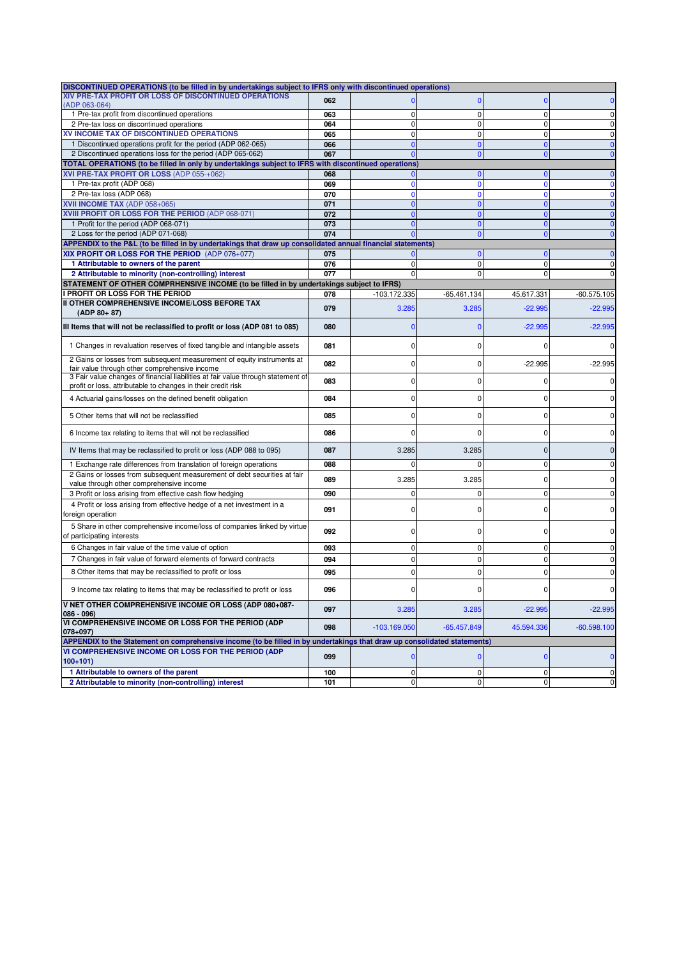| DISCONTINUED OPERATIONS (to be filled in by undertakings subject to IFRS only with discontinued operations)                                      |     |                |                             |                  |               |
|--------------------------------------------------------------------------------------------------------------------------------------------------|-----|----------------|-----------------------------|------------------|---------------|
| XIV PRE-TAX PROFIT OR LOSS OF DISCONTINUED OPERATIONS                                                                                            | 062 |                | $\mathbf{0}$                | n                |               |
| (ADP 063-064)<br>1 Pre-tax profit from discontinued operations                                                                                   | 063 | $\mathbf 0$    | $\mathbf{0}$                | $\mathbf 0$      | 0             |
| 2 Pre-tax loss on discontinued operations                                                                                                        | 064 | $\mathbf 0$    | $\mathbf{0}$                | $\mathbf 0$      | $\mathbf 0$   |
| XV INCOME TAX OF DISCONTINUED OPERATIONS                                                                                                         | 065 | $\Omega$       | $\Omega$                    | $\Omega$         | $\pmb{0}$     |
| 1 Discontinued operations profit for the period (ADP 062-065)                                                                                    | 066 | $\mathbf{0}$   | $\mathbf{0}$                | $\Omega$         | $\mathbf{0}$  |
| 2 Discontinued operations loss for the period (ADP 065-062)                                                                                      | 067 | $\mathbf{0}$   | $\mathbf{0}$                | $\Omega$         | $\mathbf{0}$  |
| TOTAL OPERATIONS (to be filled in only by undertakings subject to IFRS with discontinued operations)                                             |     |                |                             |                  |               |
| XVI PRE-TAX PROFIT OR LOSS (ADP 055-+062)                                                                                                        | 068 | $\mathbf{0}$   | $\mathbf{0}$                | $\Omega$         | $\mathbf 0$   |
| 1 Pre-tax profit (ADP 068)                                                                                                                       | 069 | $\mathbf{0}$   | $\mathbf{0}$                | $\Omega$         | $\mathbf 0$   |
| 2 Pre-tax loss (ADP 068)                                                                                                                         | 070 | $\Omega$       | $\Omega$                    | $\Omega$         | $\mathbf{0}$  |
| XVII INCOME TAX (ADP 058+065)                                                                                                                    | 071 | $\Omega$       | $\mathbf{0}$                |                  | $\mathbf{0}$  |
| XVIII PROFIT OR LOSS FOR THE PERIOD (ADP 068-071)                                                                                                | 072 | $\Omega$       | $\mathbf{0}$                |                  | $\mathbf{0}$  |
| 1 Profit for the period (ADP 068-071)                                                                                                            | 073 | $\mathbf{0}$   | $\mathbf{0}$                | $\Omega$         | $\mathbf{0}$  |
| 2 Loss for the period (ADP 071-068)                                                                                                              | 074 | $\Omega$       | $\mathbf{0}$                | $\Omega$         | $\mathbf{0}$  |
| APPENDIX to the P&L (to be filled in by undertakings that draw up consolidated annual financial statements)                                      |     |                |                             |                  |               |
| XIX PROFIT OR LOSS FOR THE PERIOD (ADP 076+077)                                                                                                  | 075 |                | $\mathbf{0}$                | $\Omega$         | $\mathbf{0}$  |
| 1 Attributable to owners of the parent                                                                                                           | 076 | $\mathbf 0$    | $\overline{0}$              | $\Omega$         | $\pmb{0}$     |
| 2 Attributable to minority (non-controlling) interest                                                                                            | 077 | 0              | $\mathbf{0}$                | $\Omega$         | 0             |
| STATEMENT OF OTHER COMPRHENSIVE INCOME (to be filled in by undertakings subject to IFRS)                                                         |     |                |                             |                  |               |
| I PROFIT OR LOSS FOR THE PERIOD                                                                                                                  | 078 | -103.172.335   | $-65.461.134$               | 45.617.331       | $-60.575.105$ |
| II OTHER COMPREHENSIVE INCOME/LOSS BEFORE TAX<br>$(ADP 80+87)$                                                                                   | 079 | 3.285          | 3.285                       | $-22.995$        | $-22.995$     |
| III Items that will not be reclassified to profit or loss (ADP 081 to 085)                                                                       | 080 | $\mathbf 0$    | $\mathbf{0}$                | $-22.995$        | $-22.995$     |
| 1 Changes in revaluation reserves of fixed tangible and intangible assets                                                                        | 081 | 0              | 0                           |                  | 0             |
| 2 Gains or losses from subsequent measurement of equity instruments at<br>fair value through other comprehensive income                          | 082 | 0              | 0                           | $-22.995$        | $-22.995$     |
| 3 Fair value changes of financial liabilities at fair value through statement of<br>profit or loss, attributable to changes in their credit risk | 083 | $\Omega$       | 0                           | n                |               |
| 4 Actuarial gains/losses on the defined benefit obligation                                                                                       | 084 | 0              | 0                           | C                | $\Omega$      |
| 5 Other items that will not be reclassified                                                                                                      | 085 | 0              | 0                           | 0                |               |
| 6 Income tax relating to items that will not be reclassified                                                                                     | 086 | $\Omega$       | 0                           |                  | C             |
| IV Items that may be reclassified to profit or loss (ADP 088 to 095)                                                                             | 087 | 3.285          | 3.285                       | $\Omega$         |               |
| 1 Exchange rate differences from translation of foreign operations                                                                               | 088 | $\mathbf 0$    | $\mathbf 0$                 | 0                | 0             |
| 2 Gains or losses from subsequent measurement of debt securities at fair<br>value through other comprehensive income                             | 089 | 3.285          | 3.285                       |                  | $\Omega$      |
| 3 Profit or loss arising from effective cash flow hedging                                                                                        | 090 | $\mathbf 0$    | $\mathbf 0$                 | $\mathbf 0$      | $\mathbf 0$   |
| 4 Profit or loss arising from effective hedge of a net investment in a<br>foreign operation                                                      | 091 | 0              | 0                           | O                | $\Omega$      |
| 5 Share in other comprehensive income/loss of companies linked by virtue<br>of participating interests                                           | 092 | 0              | 0                           |                  |               |
| 6 Changes in fair value of the time value of option                                                                                              | 093 | 0              | $\mathbf{0}$                | $\Omega$         | $\Omega$      |
| 7 Changes in fair value of forward elements of forward contracts                                                                                 | 094 | 0              | $\mathbf 0$                 | $\Omega$         | 0             |
|                                                                                                                                                  |     |                |                             |                  |               |
| 8 Other items that may be reclassified to profit or loss                                                                                         | 095 | $\Omega$       | 0                           |                  | $\Omega$      |
| 9 Income tax relating to items that may be reclassified to profit or loss                                                                        | 096 |                |                             |                  |               |
| V NET OTHER COMPREHENSIVE INCOME OR LOSS (ADP 080+087-                                                                                           | 097 | 3.285          | 3.285                       | $-22.995$        | $-22.995$     |
| $086 - 096$<br>VI COMPREHENSIVE INCOME OR LOSS FOR THE PERIOD (ADP<br>$078 + 097$                                                                | 098 | $-103.169.050$ | $-65.457.849$               | 45.594.336       | $-60.598.100$ |
| APPENDIX to the Statement on comprehensive income (to be filled in by undertakings that draw up consolidated statements)                         |     |                |                             |                  |               |
| VI COMPREHENSIVE INCOME OR LOSS FOR THE PERIOD (ADP                                                                                              |     |                |                             |                  |               |
| $100+101$                                                                                                                                        | 099 | $\mathbf{0}$   | $\mathbf 0$                 | $\mathbf{0}$     | $\mathbf 0$   |
| 1 Attributable to owners of the parent<br>2 Attributable to minority (non-controlling) interest                                                  | 100 | 0              | $\mathbf 0$<br>$\mathbf{0}$ | 0<br>$\mathbf 0$ | $\mathbf 0$   |
|                                                                                                                                                  | 101 | 0              |                             |                  | $\pmb{0}$     |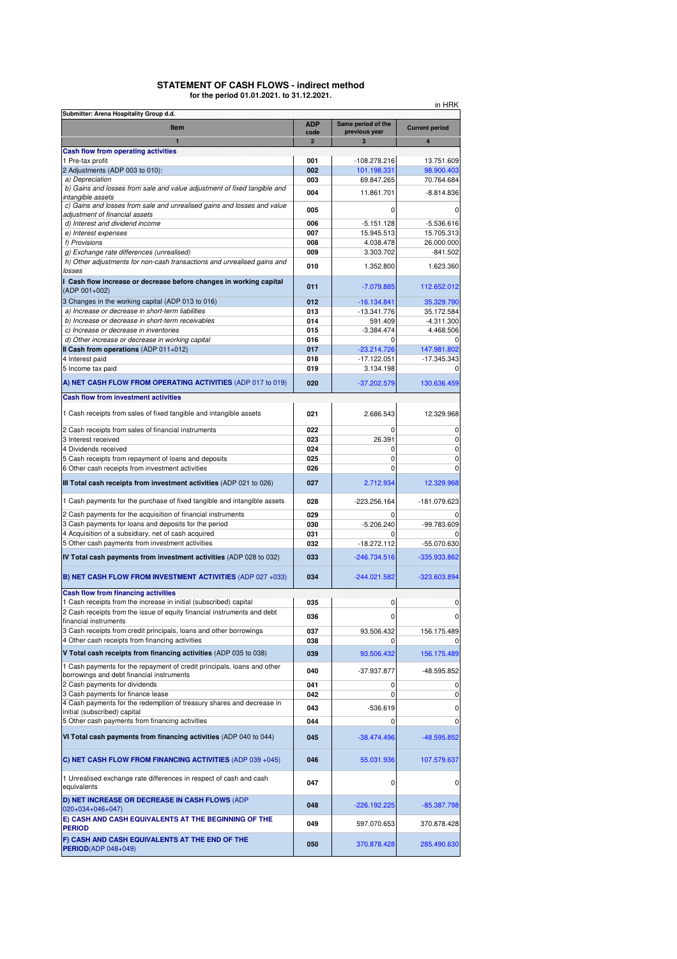#### **STATEMENT OF CASH FLOWS - indirect method for the period 01.01.2021. to 31.12.2021.**

| in HRK                                                                                                               |                |                               |                          |  |  |  |  |  |  |  |
|----------------------------------------------------------------------------------------------------------------------|----------------|-------------------------------|--------------------------|--|--|--|--|--|--|--|
| Submitter: Arena Hospitality Group d.d.                                                                              | <b>ADP</b>     | Same period of the            |                          |  |  |  |  |  |  |  |
| Item                                                                                                                 | code           | previous year                 | <b>Current period</b>    |  |  |  |  |  |  |  |
|                                                                                                                      | $\overline{2}$ | 3                             | 4                        |  |  |  |  |  |  |  |
| <b>Cash flow from operating activities</b><br>1 Pre-tax profit                                                       |                |                               |                          |  |  |  |  |  |  |  |
| 2 Adjustments (ADP 003 to 010):                                                                                      | 001<br>002     | $-108.278.216$<br>101.198.331 | 13.751.609<br>98.900.403 |  |  |  |  |  |  |  |
| a) Depreciation                                                                                                      | 003            | 69.847.265                    | 70.764.684               |  |  |  |  |  |  |  |
| b) Gains and losses from sale and value adjustment of fixed tangible and                                             | 004            | 11.861.701                    | $-8.814.836$             |  |  |  |  |  |  |  |
| intangible assets<br>c) Gains and losses from sale and unrealised gains and losses and value                         |                |                               |                          |  |  |  |  |  |  |  |
| adjustment of financial assets                                                                                       | 005            | $\Omega$                      | 0                        |  |  |  |  |  |  |  |
| d) Interest and dividend income                                                                                      | 006            | $-5.151.128$                  | $-5.536.616$             |  |  |  |  |  |  |  |
| e) Interest expenses                                                                                                 | 007            | 15.945.513                    | 15.705.313               |  |  |  |  |  |  |  |
| f) Provisions                                                                                                        | 008            | 4.038.478                     | 26.000.000               |  |  |  |  |  |  |  |
| g) Exchange rate differences (unrealised)<br>h) Other adjustments for non-cash transactions and unrealised gains and | 009            | 3.303.702                     | $-841.502$               |  |  |  |  |  |  |  |
| losses                                                                                                               | 010            | 1.352.800                     | 1.623.360                |  |  |  |  |  |  |  |
| I Cash flow increase or decrease before changes in working capital                                                   |                |                               |                          |  |  |  |  |  |  |  |
| (ADP 001+002)                                                                                                        | 011            | $-7.079.885$                  | 112.652.012              |  |  |  |  |  |  |  |
| 3 Changes in the working capital (ADP 013 to 016)                                                                    | 012            | $-16.134.841$                 | 35.329.790               |  |  |  |  |  |  |  |
| a) Increase or decrease in short-term liabilities                                                                    | 013            | -13.341.776                   | 35.172.584               |  |  |  |  |  |  |  |
| b) Increase or decrease in short-term receivables                                                                    | 014            | 591.409                       | $-4.311.300$             |  |  |  |  |  |  |  |
| c) Increase or decrease in inventories                                                                               | 015            | $-3.384.474$                  | 4.468.506                |  |  |  |  |  |  |  |
| d) Other increase or decrease in working capital                                                                     | 016            |                               | 0                        |  |  |  |  |  |  |  |
| II Cash from operations (ADP 011+012)                                                                                | 017            | $-23.214.726$                 | 147.981.802              |  |  |  |  |  |  |  |
| 4 Interest paid                                                                                                      | 018            | $-17.122.051$                 | $-17.345.343$            |  |  |  |  |  |  |  |
| 5 Income tax paid                                                                                                    | 019            | 3.134.198                     | 0                        |  |  |  |  |  |  |  |
| A) NET CASH FLOW FROM OPERATING ACTIVITIES (ADP 017 to 019)                                                          | 020            | $-37.202.579$                 | 130.636.459              |  |  |  |  |  |  |  |
| <b>Cash flow from investment activities</b>                                                                          |                |                               |                          |  |  |  |  |  |  |  |
|                                                                                                                      |                |                               |                          |  |  |  |  |  |  |  |
| 1 Cash receipts from sales of fixed tangible and intangible assets                                                   | 021            | 2.686.543                     | 12.329.968               |  |  |  |  |  |  |  |
|                                                                                                                      |                | $\Omega$                      |                          |  |  |  |  |  |  |  |
| 2 Cash receipts from sales of financial instruments                                                                  | 022            |                               | 0                        |  |  |  |  |  |  |  |
| 3 Interest received<br>4 Dividends received                                                                          | 023            | 26.391                        | 0<br>0                   |  |  |  |  |  |  |  |
| 5 Cash receipts from repayment of loans and deposits                                                                 | 024<br>025     | 0<br>$\mathbf 0$              | 0                        |  |  |  |  |  |  |  |
| 6 Other cash receipts from investment activities                                                                     | 026            | $\overline{0}$                | 0                        |  |  |  |  |  |  |  |
|                                                                                                                      |                |                               |                          |  |  |  |  |  |  |  |
| III Total cash receipts from investment activities (ADP 021 to 026)                                                  | 027            | 2.712.934                     | 12.329.968               |  |  |  |  |  |  |  |
| 1 Cash payments for the purchase of fixed tangible and intangible assets                                             | 028            | $-223.256.164$                | -181.079.623             |  |  |  |  |  |  |  |
| 2 Cash payments for the acquisition of financial instruments                                                         | 029            |                               |                          |  |  |  |  |  |  |  |
| 3 Cash payments for loans and deposits for the period                                                                | 030            | $-5.206.240$                  | -99.783.609              |  |  |  |  |  |  |  |
| 4 Acquisition of a subsidiary, net of cash acquired                                                                  | 031            |                               |                          |  |  |  |  |  |  |  |
| 5 Other cash payments from investment activities                                                                     | 032            | $-18.272.112$                 | -55.070.630              |  |  |  |  |  |  |  |
| IV Total cash payments from investment activities (ADP 028 to 032)                                                   | 033            | $-246.734.516$                | -335.933.862             |  |  |  |  |  |  |  |
| B) NET CASH FLOW FROM INVESTMENT ACTIVITIES (ADP 027 +033)                                                           | 034            | $-244.021.582$                | $-323.603.894$           |  |  |  |  |  |  |  |
| Cash flow from financing activities                                                                                  |                |                               |                          |  |  |  |  |  |  |  |
| 1 Cash receipts from the increase in initial (subscribed) capital                                                    | 035            | $\overline{0}$                | $\overline{0}$           |  |  |  |  |  |  |  |
| 2 Cash receipts from the issue of equity financial instruments and debt                                              | 036            | 0                             | $\overline{0}$           |  |  |  |  |  |  |  |
| financial instruments<br>3 Cash receipts from credit principals, loans and other borrowings                          | 037            | 93.506.432                    | 156.175.489              |  |  |  |  |  |  |  |
| 4 Other cash receipts from financing activities                                                                      | 038            | 0                             | 0                        |  |  |  |  |  |  |  |
| V Total cash receipts from financing activities (ADP 035 to 038)                                                     | 039            | 93.506.432                    | 156.175.489              |  |  |  |  |  |  |  |
| 1 Cash payments for the repayment of credit principals, loans and other                                              |                |                               |                          |  |  |  |  |  |  |  |
| borrowings and debt financial instruments                                                                            | 040            | -37.937.877                   | -48.595.852              |  |  |  |  |  |  |  |
| 2 Cash payments for dividends                                                                                        | 041            | 0                             | $\overline{0}$           |  |  |  |  |  |  |  |
| 3 Cash payments for finance lease                                                                                    | 042            | $\mathbf 0$                   | $\overline{0}$           |  |  |  |  |  |  |  |
| 4 Cash payments for the redemption of treasury shares and decrease in                                                | 043            | $-536.619$                    | $\overline{0}$           |  |  |  |  |  |  |  |
| initial (subscribed) capital<br>5 Other cash payments from financing activities                                      |                | $\mathbf 0$                   | $\mathbf 0$              |  |  |  |  |  |  |  |
|                                                                                                                      | 044            |                               |                          |  |  |  |  |  |  |  |
| VI Total cash payments from financing activities (ADP 040 to 044)                                                    | 045            | $-38.474.496$                 | $-48.595.852$            |  |  |  |  |  |  |  |
| C) NET CASH FLOW FROM FINANCING ACTIVITIES (ADP 039 +045)                                                            | 046            | 55.031.936                    | 107.579.637              |  |  |  |  |  |  |  |
| 1 Unrealised exchange rate differences in respect of cash and cash<br>equivalents                                    | 047            | 0                             | $\overline{0}$           |  |  |  |  |  |  |  |
| D) NET INCREASE OR DECREASE IN CASH FLOWS (ADP<br>$020+034+046+047$                                                  | 048            | $-226.192.225$                | $-85.387.798$            |  |  |  |  |  |  |  |
| E) CASH AND CASH EQUIVALENTS AT THE BEGINNING OF THE<br><b>PERIOD</b>                                                | 049            | 597.070.653                   | 370.878.428              |  |  |  |  |  |  |  |
| F) CASH AND CASH EQUIVALENTS AT THE END OF THE<br><b>PERIOD(ADP 048+049)</b>                                         | 050            | 370.878.428                   | 285.490.630              |  |  |  |  |  |  |  |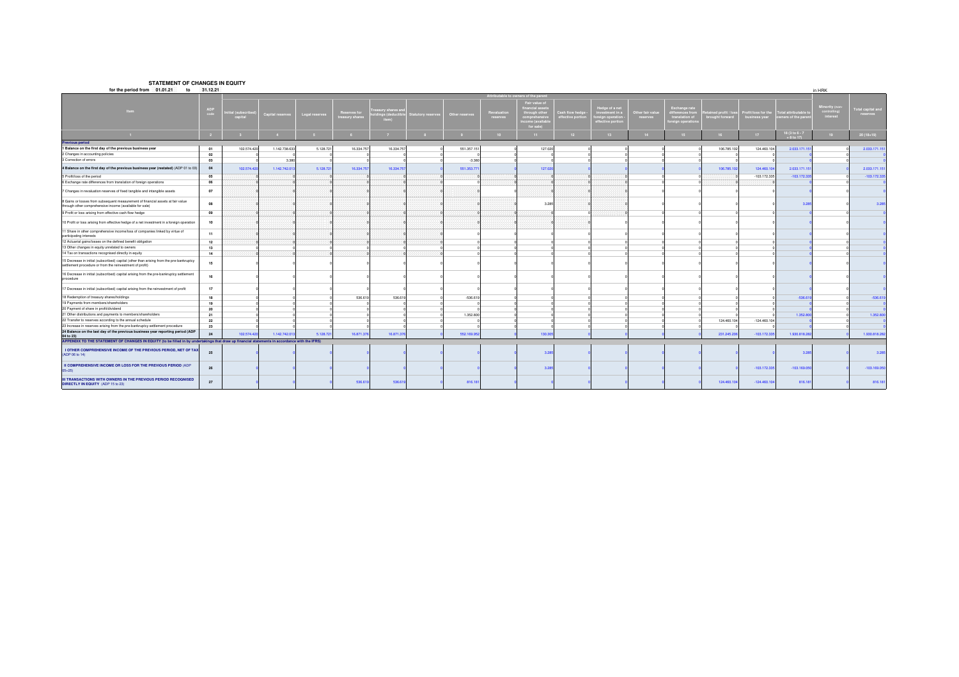#### **STATEMENT OF CHANGES IN EQUITY**

| for the period from 01.01.21<br>to                                                                                                                             | 31.12.21    |                         |                  |                |                                |                                       |                           |                |                       |                                                                                               |                                  |                                                                        |                              |                                                                  |                                      |                                    |                                      | in HRK                               |                              |
|----------------------------------------------------------------------------------------------------------------------------------------------------------------|-------------|-------------------------|------------------|----------------|--------------------------------|---------------------------------------|---------------------------|----------------|-----------------------|-----------------------------------------------------------------------------------------------|----------------------------------|------------------------------------------------------------------------|------------------------------|------------------------------------------------------------------|--------------------------------------|------------------------------------|--------------------------------------|--------------------------------------|------------------------------|
|                                                                                                                                                                |             |                         |                  |                |                                |                                       |                           |                |                       | ttributable to owners of the paren                                                            |                                  |                                                                        |                              |                                                                  |                                      |                                    |                                      |                                      |                              |
| <b>Item</b>                                                                                                                                                    | ADP<br>code | ial (subscri<br>capital | Capital reserve: | Legal reserves | teserves for<br>reasury shares | sury shares ar<br>ngs (deduc<br>item) | <b>Statutory reserves</b> | Other reserves | Revaluati<br>reserves | Fair value of<br>inancial ass<br>through othe<br>comprehensive<br>ncome (availab<br>for sale) | ash flow hedg<br>ffective portio | ledge of a nel<br>vestment in a<br>preign operation<br>ffective portio | Other fair value<br>reserves | Exchange rate<br>erences fro<br>translation of<br>vreign operati | sined profit / lo:<br>rought forward | ofit/loss for the<br>business year | tal attributable<br>mers of the pare | linority (no<br>omromng.<br>interest | otal capital and<br>reserves |
|                                                                                                                                                                |             |                         |                  |                |                                |                                       |                           |                |                       | 11                                                                                            | 12                               | 13                                                                     |                              | 15                                                               |                                      | $17-17$                            | 18 (3 to 6 - 7<br>+ 8 to 17          | 19                                   | $20(18*19)$                  |
| <b>Previous period</b>                                                                                                                                         |             |                         |                  |                |                                |                                       |                           |                |                       |                                                                                               |                                  |                                                                        |                              |                                                                  |                                      |                                    |                                      |                                      |                              |
| 1 Balance on the first day of the previous business year                                                                                                       | 01          | 102.574.420             | 1.142.738.63     | 5.128.721      | 16.334.757                     | 16.334.757                            |                           | 551.357.15     |                       | 127.020                                                                                       |                                  |                                                                        |                              |                                                                  | 106.785.102                          | 124.460.104                        | 2.033.171.15                         |                                      | 2.033.171.151                |
| 2 Changes in accounting policies                                                                                                                               | 02          |                         |                  |                |                                |                                       |                           |                |                       |                                                                                               |                                  |                                                                        |                              |                                                                  |                                      |                                    |                                      |                                      |                              |
| 3 Correction of errors                                                                                                                                         | 03          |                         | 3.380            |                |                                |                                       |                           | $-3.38$        |                       |                                                                                               |                                  |                                                                        |                              |                                                                  |                                      |                                    |                                      |                                      |                              |
| 4 Balance on the first day of the previous business year (restated) (ADP 01 to 03)                                                                             | 04          | 102.574.420             | 1.142.742.01     | 5.128.721      | 16.334.757                     | 16,334,757                            |                           | 551,353.77     |                       | 127,020                                                                                       |                                  |                                                                        |                              |                                                                  | 106.785.10                           | 124.460.104                        | 2.033.171.151                        |                                      | 2.033.171.151                |
| 5 Profit/loss of the period                                                                                                                                    | 05          |                         |                  |                |                                |                                       |                           |                |                       |                                                                                               |                                  |                                                                        |                              |                                                                  |                                      | $-103.172.335$                     | $-103.172.335$                       |                                      | $-103.172.335$               |
| 6 Exchange rate differences from translation of foreign operations                                                                                             | 06          |                         |                  |                |                                |                                       |                           |                |                       |                                                                                               |                                  |                                                                        |                              |                                                                  |                                      |                                    |                                      |                                      |                              |
| 7 Changes in revaluation reserves of fixed tangible and intangible assets                                                                                      | 07          |                         |                  |                |                                |                                       |                           |                |                       |                                                                                               |                                  |                                                                        |                              |                                                                  |                                      |                                    |                                      |                                      |                              |
| 8 Gains or losses from subsequent measurement of financial assets at fair value<br>through other comprehensive income (available for sale)                     | 08          |                         |                  |                |                                |                                       |                           |                |                       | 3.285                                                                                         |                                  |                                                                        |                              |                                                                  |                                      |                                    | 3.285                                |                                      | 3.285                        |
| 9 Profit or loss arising from effective cash flow hedge                                                                                                        | 09          |                         |                  |                |                                |                                       |                           |                |                       |                                                                                               |                                  |                                                                        |                              |                                                                  |                                      |                                    |                                      |                                      |                              |
| 10 Profit or loss arising from effective hedge of a net investment in a foreign operation                                                                      | 10          |                         |                  |                |                                |                                       |                           |                |                       |                                                                                               |                                  |                                                                        |                              |                                                                  |                                      |                                    |                                      |                                      |                              |
| 11 Share in other comprehensive income/loss of companies linked by virtue of<br>participating interests                                                        | 11          |                         |                  |                |                                |                                       |                           |                |                       |                                                                                               |                                  |                                                                        |                              |                                                                  |                                      |                                    |                                      |                                      |                              |
| 12 Actuarial gains/losses on the defined benefit obligation                                                                                                    | 12          |                         |                  |                |                                |                                       |                           |                |                       |                                                                                               |                                  |                                                                        |                              |                                                                  |                                      |                                    |                                      |                                      |                              |
| 13 Other changes in equity unrelated to owners                                                                                                                 | 13          |                         |                  |                |                                |                                       |                           |                |                       |                                                                                               |                                  |                                                                        |                              |                                                                  |                                      |                                    |                                      |                                      |                              |
| 14 Tax on transactions recognised directly in equity                                                                                                           | 14          |                         |                  |                |                                |                                       |                           |                |                       |                                                                                               |                                  |                                                                        |                              |                                                                  |                                      |                                    |                                      |                                      |                              |
| 15 Decrease in initial (subscribed) capital (other than arising from the pre-bankruptcy<br>settlement procedure or from the reinvestment of profit)            | 15          |                         |                  |                |                                |                                       |                           |                |                       |                                                                                               |                                  |                                                                        |                              |                                                                  |                                      |                                    |                                      |                                      |                              |
| 16 Decrease in initial (subscribed) capital arising from the pre-bankruptcy settlement<br>procedure                                                            | 16          |                         |                  |                |                                |                                       |                           |                |                       |                                                                                               |                                  |                                                                        |                              |                                                                  |                                      |                                    |                                      |                                      |                              |
| 17 Decrease in initial (subscribed) capital arising from the reinvestment of profit                                                                            | 17          |                         |                  |                |                                |                                       |                           |                |                       |                                                                                               |                                  |                                                                        |                              |                                                                  |                                      |                                    |                                      |                                      |                              |
| 18 Redemption of treasury shares/holdings                                                                                                                      | 18          |                         |                  |                | 536.619                        | 536.619                               |                           | $-536.619$     |                       |                                                                                               |                                  |                                                                        |                              |                                                                  |                                      |                                    | $-536.61$                            |                                      | $-536.619$                   |
| 19 Payments from members/shareholders                                                                                                                          | 19          |                         |                  |                |                                |                                       |                           |                |                       |                                                                                               |                                  |                                                                        |                              |                                                                  |                                      |                                    |                                      |                                      |                              |
| 20 Payment of share in profit/dividend                                                                                                                         | 20          |                         |                  |                |                                |                                       |                           |                |                       |                                                                                               |                                  |                                                                        |                              |                                                                  |                                      |                                    |                                      |                                      |                              |
| 21 Other distributions and payments to members/shareholders                                                                                                    | 21          |                         |                  |                |                                |                                       |                           | 1.352.800      |                       |                                                                                               |                                  |                                                                        |                              |                                                                  |                                      |                                    | 1.352.80                             |                                      | 1.352.800                    |
| 22 Transfer to reserves according to the annual schedule                                                                                                       | 22          |                         |                  |                |                                |                                       |                           |                |                       |                                                                                               |                                  |                                                                        |                              |                                                                  | 124.460.104                          | $-124.460.104$                     |                                      |                                      |                              |
| 23 Increase in reserves arising from the pre-bankruptcy settlement procedure<br>24 Balance on the last day of the previous business year reporting period (ADP | 23          |                         |                  |                |                                |                                       |                           |                |                       |                                                                                               |                                  |                                                                        |                              |                                                                  |                                      |                                    |                                      |                                      |                              |
| 04 to 23)                                                                                                                                                      | 24          | 102.574.420             | 1.142.742.01     | 5.128.721      | 16.871.376                     | 16.871.376                            |                           | 552.169.95     |                       | 130.30                                                                                        |                                  |                                                                        |                              |                                                                  | 231.245.20                           | $-103.172.335$                     | 1.930.818.282                        |                                      | 1.930.818.282                |
| APPENDIX TO THE STATEMENT OF CHANGES IN EQUITY (to be filled in by undertakings that draw up financial statements in accordance with the IFRS)                 |             |                         |                  |                |                                |                                       |                           |                |                       |                                                                                               |                                  |                                                                        |                              |                                                                  |                                      |                                    |                                      |                                      |                              |
| I OTHER COMPREHENSIVE INCOME OF THE PREVIOUS PERIOD, NET OF TAX<br>(ADP 06 to 14)                                                                              | 25          |                         |                  |                |                                |                                       |                           |                |                       | 3.28                                                                                          |                                  |                                                                        |                              |                                                                  |                                      |                                    | 3.28                                 |                                      | 3.285                        |
| II COMPREHENSIVE INCOME OR LOSS FOR THE PREVIOUS PERIOD (ADP<br>$05 + 25$                                                                                      | 26          |                         |                  |                |                                |                                       |                           |                |                       | 3.285                                                                                         |                                  |                                                                        |                              |                                                                  |                                      | $-103.172.335$                     | $-103.169.050$                       |                                      | $-103.169.050$               |
| III TRANSACTIONS WITH OWNERS IN THE PREVIOUS PERIOD RECOGNISED<br>DIRECTLY IN EQUITY (ADP 15 to 23)                                                            | 27          |                         |                  |                | 536,619                        | 536.61                                |                           | 816.18         |                       |                                                                                               |                                  |                                                                        |                              |                                                                  | 124.460.10                           | $-124.460.10$                      | 816.181                              |                                      | 816.181                      |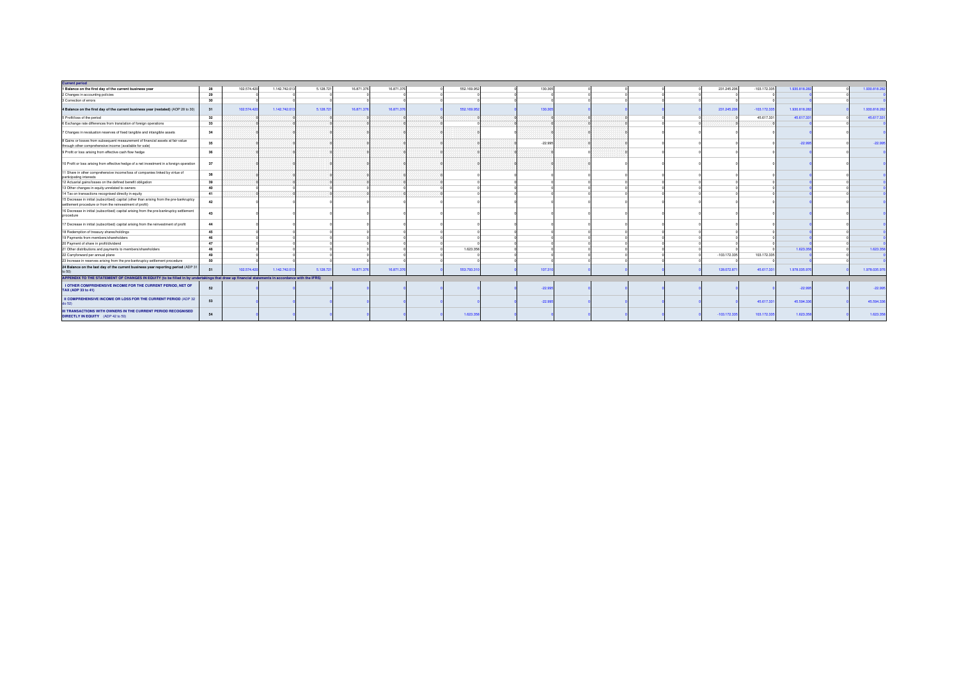| <b>Current period</b>                                                                                                                               |    |             |              |           |            |            |  |             |  |           |  |  |  |                |                |               |               |
|-----------------------------------------------------------------------------------------------------------------------------------------------------|----|-------------|--------------|-----------|------------|------------|--|-------------|--|-----------|--|--|--|----------------|----------------|---------------|---------------|
| 1 Balance on the first day of the current business year                                                                                             | 28 | 102.574.420 | 1.142.742.01 | 5.128.721 | 16.871.376 | 16,871,376 |  | 552.169.952 |  | 130,305   |  |  |  | 231.245.206    | $-103.172.335$ | 1,930,818.28  | 1.930.818.282 |
| 2 Changes in accounting policies                                                                                                                    | 29 |             |              |           |            |            |  |             |  |           |  |  |  |                |                |               |               |
| 3 Correction of errors                                                                                                                              | 30 |             |              |           |            |            |  |             |  |           |  |  |  |                |                |               |               |
| 4 Balance on the first day of the current business year (restated) (AOP 28 to 30)                                                                   | 31 | 102.574.420 | 1.142.742.01 | 5.128.721 | 16.871.376 | 16,871,376 |  | 552.169.952 |  | 130.30    |  |  |  | 231.245.206    | $-103.172.335$ | 1.930.818.282 | 1.930.818.282 |
| 5 Profit/loss of the period                                                                                                                         | 32 |             |              |           |            |            |  |             |  |           |  |  |  |                | 45.617.331     | 45.617.33     | 45.617.331    |
| 6 Exchange rate differences from translation of foreign operations                                                                                  | 33 |             |              |           |            |            |  |             |  |           |  |  |  |                |                |               |               |
| 7 Changes in revaluation reserves of fixed tangible and intangible assets                                                                           | 34 |             |              |           |            |            |  |             |  |           |  |  |  |                |                |               |               |
| 8 Gains or losses from subsequent measurement of financial assets at fair value<br>through other comprehensive income (available for sale)          | 35 |             |              |           |            |            |  |             |  | $-22.995$ |  |  |  |                |                | $-22.99$      | $-22.995$     |
| 9 Profit or loss arising from effective cash flow hedge                                                                                             | 36 |             |              |           |            |            |  |             |  |           |  |  |  |                |                |               |               |
| 10 Profit or loss arising from effective hedge of a net investment in a foreign operation                                                           | 37 |             |              |           |            |            |  |             |  |           |  |  |  |                |                |               |               |
| 11 Share in other comprehensive income/loss of companies linked by virtue of<br>participating interests                                             | 38 |             |              |           |            |            |  |             |  |           |  |  |  |                |                |               |               |
| 12 Actuarial gains/losses on the defined benefit obligation                                                                                         | 39 |             |              |           |            |            |  |             |  |           |  |  |  |                |                |               |               |
| 13 Other changes in equity unrelated to owners                                                                                                      | 40 |             |              |           |            |            |  |             |  |           |  |  |  |                |                |               |               |
| 14 Tax on transactions recognised directly in equity                                                                                                | 41 |             |              |           |            |            |  |             |  |           |  |  |  |                |                |               |               |
| 15 Decrease in initial (subscribed) capital (other than arising from the pre-bankruptcy<br>settlement procedure or from the reinvestment of profit) | 42 |             |              |           |            |            |  |             |  |           |  |  |  |                |                |               |               |
| 16 Decrease in initial (subscribed) capital arising from the pre-bankruptcy settlement<br>procedure                                                 | 43 |             |              |           |            |            |  |             |  |           |  |  |  |                |                |               |               |
| 17 Decrease in initial (subscribed) capital arising from the reinvestment of profit                                                                 | 44 |             |              |           |            |            |  |             |  |           |  |  |  |                |                |               |               |
| 18 Redemption of treasury shares/holdings                                                                                                           | 45 |             |              |           |            |            |  |             |  |           |  |  |  |                |                |               |               |
| 19 Payments from members/shareholders                                                                                                               | 46 |             |              |           |            |            |  |             |  |           |  |  |  |                |                |               |               |
| 20 Payment of share in profit/dividend                                                                                                              | 47 |             |              |           |            |            |  |             |  |           |  |  |  |                |                |               |               |
| 21 Other distributions and payments to members/shareholders                                                                                         | 48 |             |              |           |            |            |  | 1.623.358   |  |           |  |  |  |                |                | 1,623.35      | 1.623.358     |
| 22 Carrylorward per annual plane                                                                                                                    | 49 |             |              |           |            |            |  |             |  |           |  |  |  | $-103.172.335$ | 103.172.335    |               |               |
| 23 Increase in reserves arising from the pre-bankruptcy settlement procedure                                                                        | 50 |             |              |           |            |            |  |             |  |           |  |  |  |                |                |               |               |
| 24 Balance on the last day of the current business year reporting period (ADP 3<br>to 50)                                                           | 51 | 102.574.420 | 1.142.742.01 | 5.128.721 | 16.871.376 | 16.871.37  |  | 553.793.31  |  | 107.31    |  |  |  | 128.072.87     | 45.617.33      | 1.978.035.976 | 1.978.035.976 |
| APPENDIX TO THE STATEMENT OF CHANGES IN EQUITY (to be filled in by undertakings that draw up financial statements in accordance with the IFRS)      |    |             |              |           |            |            |  |             |  |           |  |  |  |                |                |               |               |
| I OTHER COMPREHENSIVE INCOME FOR THE CURRENT PERIOD, NET OF<br>TAX (ADP 33 to 41)                                                                   | 52 |             |              |           |            |            |  |             |  | $-22.99$  |  |  |  |                |                | $-22.995$     | $-22.995$     |
| II COMPREHENSIVE INCOME OR LOSS FOR THE CURRENT PERIOD (ADP 32<br>do 52)                                                                            | 53 |             |              |           |            |            |  |             |  | $-22.99$  |  |  |  |                | 45.617.331     | 45,594,336    | 45.594.336    |
| <b>III TRANSACTIONS WITH OWNERS IN THE CURRENT PERIOD RECOGNISED</b><br>DIRECTLY IN EQUITY (ADP 42 to 50)                                           | 54 |             |              |           |            |            |  | 1.623.358   |  |           |  |  |  | $-103.172.335$ | 103.172.335    | 1.623.358     | 1.623.358     |
|                                                                                                                                                     |    |             |              |           |            |            |  |             |  |           |  |  |  |                |                |               |               |